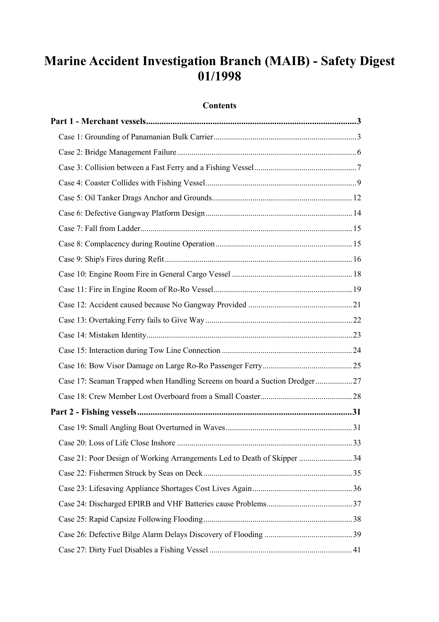# **Marine Accident Investigation Branch (MAIB) - Safety Digest 01/1998**

## **Contents**

| Case 17: Seaman Trapped when Handling Screens on board a Suction Dredger27 |  |
|----------------------------------------------------------------------------|--|
|                                                                            |  |
|                                                                            |  |
|                                                                            |  |
|                                                                            |  |
| Case 21: Poor Design of Working Arrangements Led to Death of Skipper 34    |  |
|                                                                            |  |
|                                                                            |  |
|                                                                            |  |
|                                                                            |  |
|                                                                            |  |
|                                                                            |  |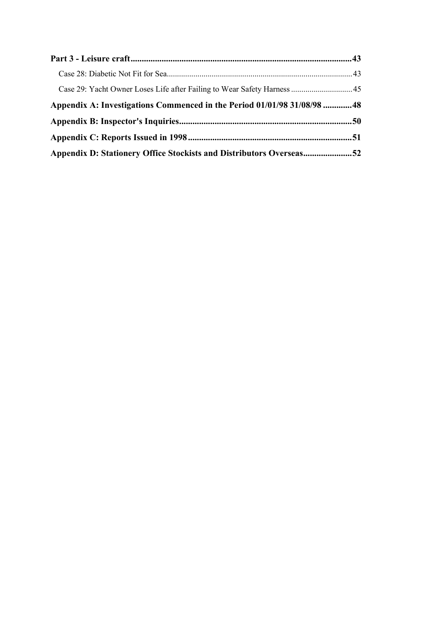| Case 29: Yacht Owner Loses Life after Failing to Wear Safety Harness  45 |  |
|--------------------------------------------------------------------------|--|
| Appendix A: Investigations Commenced in the Period 01/01/98 31/08/98  48 |  |
|                                                                          |  |
|                                                                          |  |
| Appendix D: Stationery Office Stockists and Distributors Overseas52      |  |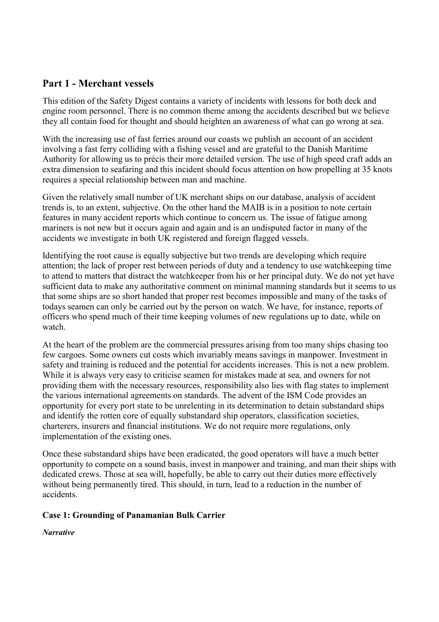## <span id="page-2-0"></span>**Part 1 - Merchant vessels**

This edition of the Safety Digest contains a variety of incidents with lessons for both deck and engine room personnel. There is no common theme among the accidents described but we believe they all contain food for thought and should heighten an awareness of what can go wrong at sea.

With the increasing use of fast ferries around our coasts we publish an account of an accident involving a fast ferry colliding with a fishing vessel and are grateful to the Danish Maritime Authority for allowing us to précis their more detailed version. The use of high speed craft adds an extra dimension to seafaring and this incident should focus attention on how propelling at 35 knots requires a special relationship between man and machine.

Given the relatively small number of UK merchant ships on our database, analysis of accident trends is, to an extent, subjective. On the other hand the MAIB is in a position to note certain features in many accident reports which continue to concern us. The issue of fatigue among mariners is not new but it occurs again and again and is an undisputed factor in many of the accidents we investigate in both UK registered and foreign flagged vessels.

Identifying the root cause is equally subjective but two trends are developing which require attention; the lack of proper rest between periods of duty and a tendency to use watchkeeping time to attend to matters that distract the watchkeeper from his or her principal duty. We do not yet have sufficient data to make any authoritative comment on minimal manning standards but it seems to us that some ships are so short handed that proper rest becomes impossible and many of the tasks of todays seamen can only be carried out by the person on watch. We have, for instance, reports of officers who spend much of their time keeping volumes of new regulations up to date, while on watch.

At the heart of the problem are the commercial pressures arising from too many ships chasing too few cargoes. Some owners cut costs which invariably means savings in manpower. Investment in safety and training is reduced and the potential for accidents increases. This is not a new problem. While it is always very easy to criticise seamen for mistakes made at sea, and owners for not providing them with the necessary resources, responsibility also lies with flag states to implement the various international agreements on standards. The advent of the ISM Code provides an opportunity for every port state to be unrelenting in its determination to detain substandard ships and identify the rotten core of equally substandard ship operators, classification societies, charterers, insurers and financial institutions. We do not require more regulations, only implementation of the existing ones.

Once these substandard ships have been eradicated, the good operators will have a much better opportunity to compete on a sound basis, invest in manpower and training, and man their ships with dedicated crews. Those at sea will, hopefully, be able to carry out their duties more effectively without being permanently tired. This should, in turn, lead to a reduction in the number of accidents.

## **Case 1: Grounding of Panamanian Bulk Carrier**

*Narrative*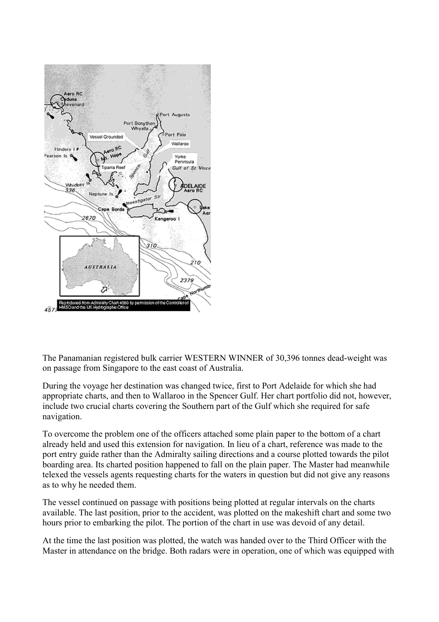

The Panamanian registered bulk carrier WESTERN WINNER of 30,396 tonnes dead-weight was on passage from Singapore to the east coast of Australia.

During the voyage her destination was changed twice, first to Port Adelaide for which she had appropriate charts, and then to Wallaroo in the Spencer Gulf. Her chart portfolio did not, however, include two crucial charts covering the Southern part of the Gulf which she required for safe navigation.

To overcome the problem one of the officers attached some plain paper to the bottom of a chart already held and used this extension for navigation. In lieu of a chart, reference was made to the port entry guide rather than the Admiralty sailing directions and a course plotted towards the pilot boarding area. Its charted position happened to fall on the plain paper. The Master had meanwhile telexed the vessels agents requesting charts for the waters in question but did not give any reasons as to why he needed them.

The vessel continued on passage with positions being plotted at regular intervals on the charts available. The last position, prior to the accident, was plotted on the makeshift chart and some two hours prior to embarking the pilot. The portion of the chart in use was devoid of any detail.

At the time the last position was plotted, the watch was handed over to the Third Officer with the Master in attendance on the bridge. Both radars were in operation, one of which was equipped with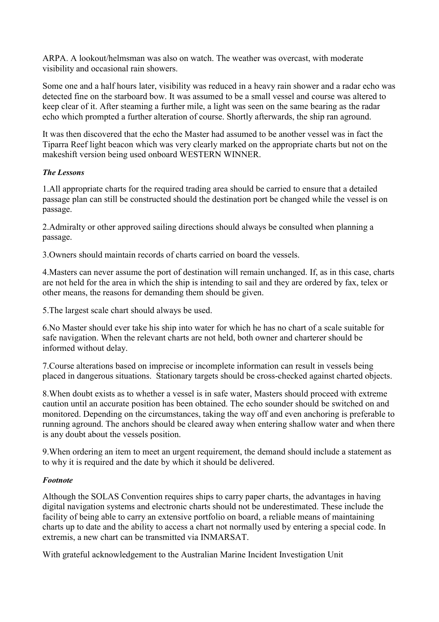ARPA. A lookout/helmsman was also on watch. The weather was overcast, with moderate visibility and occasional rain showers.

Some one and a half hours later, visibility was reduced in a heavy rain shower and a radar echo was detected fine on the starboard bow. It was assumed to be a small vessel and course was altered to keep clear of it. After steaming a further mile, a light was seen on the same bearing as the radar echo which prompted a further alteration of course. Shortly afterwards, the ship ran aground.

It was then discovered that the echo the Master had assumed to be another vessel was in fact the Tiparra Reef light beacon which was very clearly marked on the appropriate charts but not on the makeshift version being used onboard WESTERN WINNER.

## *The Lessons*

1.All appropriate charts for the required trading area should be carried to ensure that a detailed passage plan can still be constructed should the destination port be changed while the vessel is on passage.

2.Admiralty or other approved sailing directions should always be consulted when planning a passage.

3.Owners should maintain records of charts carried on board the vessels.

4.Masters can never assume the port of destination will remain unchanged. If, as in this case, charts are not held for the area in which the ship is intending to sail and they are ordered by fax, telex or other means, the reasons for demanding them should be given.

5.The largest scale chart should always be used.

6.No Master should ever take his ship into water for which he has no chart of a scale suitable for safe navigation. When the relevant charts are not held, both owner and charterer should be informed without delay.

7.Course alterations based on imprecise or incomplete information can result in vessels being placed in dangerous situations. Stationary targets should be cross-checked against charted objects.

8.When doubt exists as to whether a vessel is in safe water, Masters should proceed with extreme caution until an accurate position has been obtained. The echo sounder should be switched on and monitored. Depending on the circumstances, taking the way off and even anchoring is preferable to running aground. The anchors should be cleared away when entering shallow water and when there is any doubt about the vessels position.

9.When ordering an item to meet an urgent requirement, the demand should include a statement as to why it is required and the date by which it should be delivered.

#### *Footnote*

Although the SOLAS Convention requires ships to carry paper charts, the advantages in having digital navigation systems and electronic charts should not be underestimated. These include the facility of being able to carry an extensive portfolio on board, a reliable means of maintaining charts up to date and the ability to access a chart not normally used by entering a special code. In extremis, a new chart can be transmitted via INMARSAT.

With grateful acknowledgement to the Australian Marine Incident Investigation Unit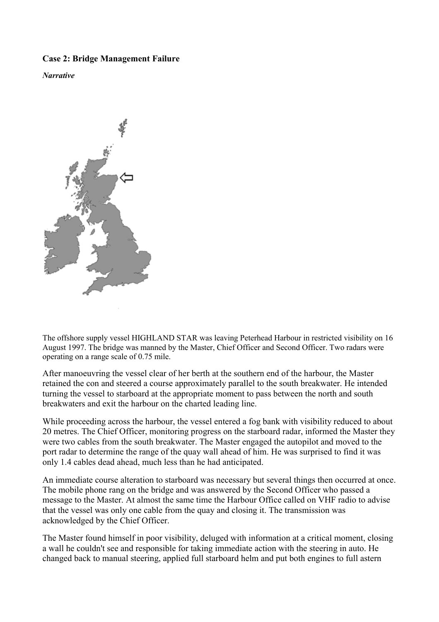## <span id="page-5-0"></span>**Case 2: Bridge Management Failure**

*Narrative* 



The offshore supply vessel HIGHLAND STAR was leaving Peterhead Harbour in restricted visibility on 16 August 1997. The bridge was manned by the Master, Chief Officer and Second Officer. Two radars were operating on a range scale of 0.75 mile.

After manoeuvring the vessel clear of her berth at the southern end of the harbour, the Master retained the con and steered a course approximately parallel to the south breakwater. He intended turning the vessel to starboard at the appropriate moment to pass between the north and south breakwaters and exit the harbour on the charted leading line.

While proceeding across the harbour, the vessel entered a fog bank with visibility reduced to about 20 metres. The Chief Officer, monitoring progress on the starboard radar, informed the Master they were two cables from the south breakwater. The Master engaged the autopilot and moved to the port radar to determine the range of the quay wall ahead of him. He was surprised to find it was only 1.4 cables dead ahead, much less than he had anticipated.

An immediate course alteration to starboard was necessary but several things then occurred at once. The mobile phone rang on the bridge and was answered by the Second Officer who passed a message to the Master. At almost the same time the Harbour Office called on VHF radio to advise that the vessel was only one cable from the quay and closing it. The transmission was acknowledged by the Chief Officer.

The Master found himself in poor visibility, deluged with information at a critical moment, closing a wall he couldn't see and responsible for taking immediate action with the steering in auto. He changed back to manual steering, applied full starboard helm and put both engines to full astern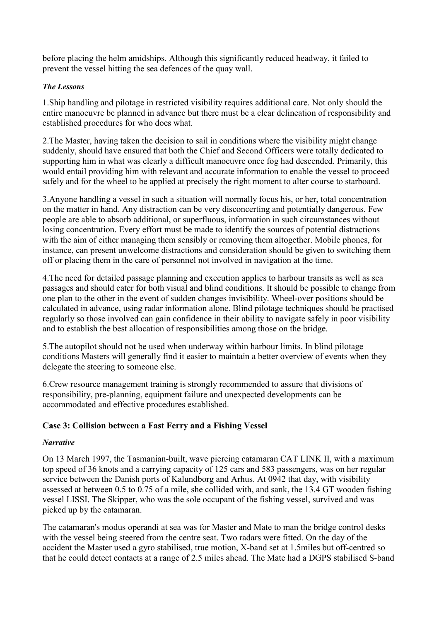<span id="page-6-0"></span>before placing the helm amidships. Although this significantly reduced headway, it failed to prevent the vessel hitting the sea defences of the quay wall.

## *The Lessons*

1.Ship handling and pilotage in restricted visibility requires additional care. Not only should the entire manoeuvre be planned in advance but there must be a clear delineation of responsibility and established procedures for who does what.

2.The Master, having taken the decision to sail in conditions where the visibility might change suddenly, should have ensured that both the Chief and Second Officers were totally dedicated to supporting him in what was clearly a difficult manoeuvre once fog had descended. Primarily, this would entail providing him with relevant and accurate information to enable the vessel to proceed safely and for the wheel to be applied at precisely the right moment to alter course to starboard.

3.Anyone handling a vessel in such a situation will normally focus his, or her, total concentration on the matter in hand. Any distraction can be very disconcerting and potentially dangerous. Few people are able to absorb additional, or superfluous, information in such circumstances without losing concentration. Every effort must be made to identify the sources of potential distractions with the aim of either managing them sensibly or removing them altogether. Mobile phones, for instance, can present unwelcome distractions and consideration should be given to switching them off or placing them in the care of personnel not involved in navigation at the time.

4.The need for detailed passage planning and execution applies to harbour transits as well as sea passages and should cater for both visual and blind conditions. It should be possible to change from one plan to the other in the event of sudden changes invisibility. Wheel-over positions should be calculated in advance, using radar information alone. Blind pilotage techniques should be practised regularly so those involved can gain confidence in their ability to navigate safely in poor visibility and to establish the best allocation of responsibilities among those on the bridge.

5.The autopilot should not be used when underway within harbour limits. In blind pilotage conditions Masters will generally find it easier to maintain a better overview of events when they delegate the steering to someone else.

6.Crew resource management training is strongly recommended to assure that divisions of responsibility, pre-planning, equipment failure and unexpected developments can be accommodated and effective procedures established.

## **Case 3: Collision between a Fast Ferry and a Fishing Vessel**

## *Narrative*

On 13 March 1997, the Tasmanian-built, wave piercing catamaran CAT LINK II, with a maximum top speed of 36 knots and a carrying capacity of 125 cars and 583 passengers, was on her regular service between the Danish ports of Kalundborg and Arhus. At 0942 that day, with visibility assessed at between 0.5 to 0.75 of a mile, she collided with, and sank, the 13.4 GT wooden fishing vessel LISSI. The Skipper, who was the sole occupant of the fishing vessel, survived and was picked up by the catamaran.

The catamaran's modus operandi at sea was for Master and Mate to man the bridge control desks with the vessel being steered from the centre seat. Two radars were fitted. On the day of the accident the Master used a gyro stabilised, true motion, X-band set at 1.5miles but off-centred so that he could detect contacts at a range of 2.5 miles ahead. The Mate had a DGPS stabilised S-band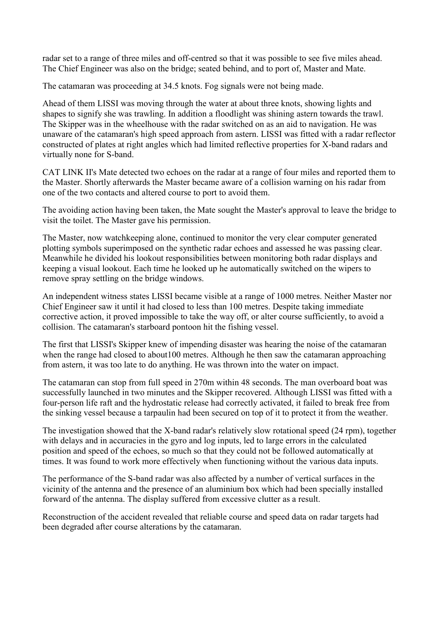radar set to a range of three miles and off-centred so that it was possible to see five miles ahead. The Chief Engineer was also on the bridge; seated behind, and to port of, Master and Mate.

The catamaran was proceeding at 34.5 knots. Fog signals were not being made.

Ahead of them LISSI was moving through the water at about three knots, showing lights and shapes to signify she was trawling. In addition a floodlight was shining astern towards the trawl. The Skipper was in the wheelhouse with the radar switched on as an aid to navigation. He was unaware of the catamaran's high speed approach from astern. LISSI was fitted with a radar reflector constructed of plates at right angles which had limited reflective properties for X-band radars and virtually none for S-band.

CAT LINK II's Mate detected two echoes on the radar at a range of four miles and reported them to the Master. Shortly afterwards the Master became aware of a collision warning on his radar from one of the two contacts and altered course to port to avoid them.

The avoiding action having been taken, the Mate sought the Master's approval to leave the bridge to visit the toilet. The Master gave his permission.

The Master, now watchkeeping alone, continued to monitor the very clear computer generated plotting symbols superimposed on the synthetic radar echoes and assessed he was passing clear. Meanwhile he divided his lookout responsibilities between monitoring both radar displays and keeping a visual lookout. Each time he looked up he automatically switched on the wipers to remove spray settling on the bridge windows.

An independent witness states LISSI became visible at a range of 1000 metres. Neither Master nor Chief Engineer saw it until it had closed to less than 100 metres. Despite taking immediate corrective action, it proved impossible to take the way off, or alter course sufficiently, to avoid a collision. The catamaran's starboard pontoon hit the fishing vessel.

The first that LISSI's Skipper knew of impending disaster was hearing the noise of the catamaran when the range had closed to about 100 metres. Although he then saw the catamaran approaching from astern, it was too late to do anything. He was thrown into the water on impact.

The catamaran can stop from full speed in 270m within 48 seconds. The man overboard boat was successfully launched in two minutes and the Skipper recovered. Although LISSI was fitted with a four-person life raft and the hydrostatic release had correctly activated, it failed to break free from the sinking vessel because a tarpaulin had been secured on top of it to protect it from the weather.

The investigation showed that the X-band radar's relatively slow rotational speed (24 rpm), together with delays and in accuracies in the gyro and log inputs, led to large errors in the calculated position and speed of the echoes, so much so that they could not be followed automatically at times. It was found to work more effectively when functioning without the various data inputs.

The performance of the S-band radar was also affected by a number of vertical surfaces in the vicinity of the antenna and the presence of an aluminium box which had been specially installed forward of the antenna. The display suffered from excessive clutter as a result.

Reconstruction of the accident revealed that reliable course and speed data on radar targets had been degraded after course alterations by the catamaran.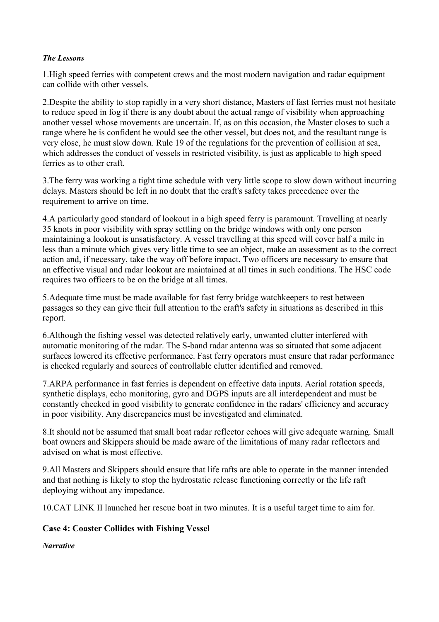#### <span id="page-8-0"></span>*The Lessons*

1.High speed ferries with competent crews and the most modern navigation and radar equipment can collide with other vessels.

2.Despite the ability to stop rapidly in a very short distance, Masters of fast ferries must not hesitate to reduce speed in fog if there is any doubt about the actual range of visibility when approaching another vessel whose movements are uncertain. If, as on this occasion, the Master closes to such a range where he is confident he would see the other vessel, but does not, and the resultant range is very close, he must slow down. Rule 19 of the regulations for the prevention of collision at sea, which addresses the conduct of vessels in restricted visibility, is just as applicable to high speed ferries as to other craft.

3.The ferry was working a tight time schedule with very little scope to slow down without incurring delays. Masters should be left in no doubt that the craft's safety takes precedence over the requirement to arrive on time.

4.A particularly good standard of lookout in a high speed ferry is paramount. Travelling at nearly 35 knots in poor visibility with spray settling on the bridge windows with only one person maintaining a lookout is unsatisfactory. A vessel travelling at this speed will cover half a mile in less than a minute which gives very little time to see an object, make an assessment as to the correct action and, if necessary, take the way off before impact. Two officers are necessary to ensure that an effective visual and radar lookout are maintained at all times in such conditions. The HSC code requires two officers to be on the bridge at all times.

5.Adequate time must be made available for fast ferry bridge watchkeepers to rest between passages so they can give their full attention to the craft's safety in situations as described in this report.

6.Although the fishing vessel was detected relatively early, unwanted clutter interfered with automatic monitoring of the radar. The S-band radar antenna was so situated that some adjacent surfaces lowered its effective performance. Fast ferry operators must ensure that radar performance is checked regularly and sources of controllable clutter identified and removed.

7.ARPA performance in fast ferries is dependent on effective data inputs. Aerial rotation speeds, synthetic displays, echo monitoring, gyro and DGPS inputs are all interdependent and must be constantly checked in good visibility to generate confidence in the radars' efficiency and accuracy in poor visibility. Any discrepancies must be investigated and eliminated.

8.It should not be assumed that small boat radar reflector echoes will give adequate warning. Small boat owners and Skippers should be made aware of the limitations of many radar reflectors and advised on what is most effective.

9.All Masters and Skippers should ensure that life rafts are able to operate in the manner intended and that nothing is likely to stop the hydrostatic release functioning correctly or the life raft deploying without any impedance.

10.CAT LINK II launched her rescue boat in two minutes. It is a useful target time to aim for.

## **Case 4: Coaster Collides with Fishing Vessel**

*Narrative*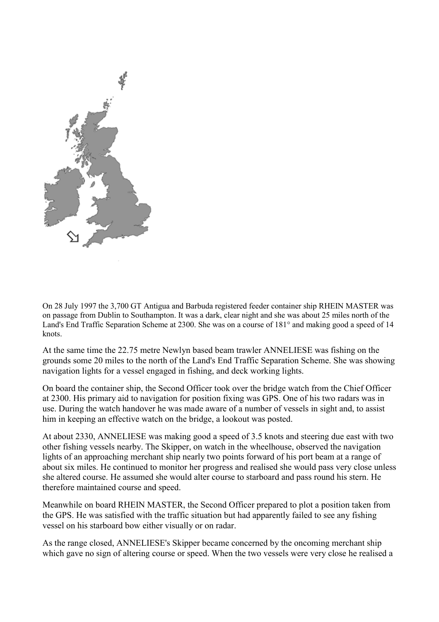

On 28 July 1997 the 3,700 GT Antigua and Barbuda registered feeder container ship RHEIN MASTER was on passage from Dublin to Southampton. It was a dark, clear night and she was about 25 miles north of the Land's End Traffic Separation Scheme at 2300. She was on a course of 181° and making good a speed of 14 knots.

At the same time the 22.75 metre Newlyn based beam trawler ANNELIESE was fishing on the grounds some 20 miles to the north of the Land's End Traffic Separation Scheme. She was showing navigation lights for a vessel engaged in fishing, and deck working lights.

On board the container ship, the Second Officer took over the bridge watch from the Chief Officer at 2300. His primary aid to navigation for position fixing was GPS. One of his two radars was in use. During the watch handover he was made aware of a number of vessels in sight and, to assist him in keeping an effective watch on the bridge, a lookout was posted.

At about 2330, ANNELIESE was making good a speed of 3.5 knots and steering due east with two other fishing vessels nearby. The Skipper, on watch in the wheelhouse, observed the navigation lights of an approaching merchant ship nearly two points forward of his port beam at a range of about six miles. He continued to monitor her progress and realised she would pass very close unless she altered course. He assumed she would alter course to starboard and pass round his stern. He therefore maintained course and speed.

Meanwhile on board RHEIN MASTER, the Second Officer prepared to plot a position taken from the GPS. He was satisfied with the traffic situation but had apparently failed to see any fishing vessel on his starboard bow either visually or on radar.

As the range closed, ANNELIESE's Skipper became concerned by the oncoming merchant ship which gave no sign of altering course or speed. When the two vessels were very close he realised a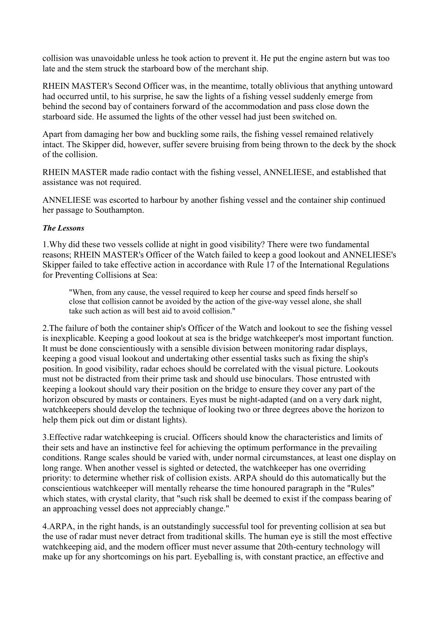collision was unavoidable unless he took action to prevent it. He put the engine astern but was too late and the stem struck the starboard bow of the merchant ship.

RHEIN MASTER's Second Officer was, in the meantime, totally oblivious that anything untoward had occurred until, to his surprise, he saw the lights of a fishing vessel suddenly emerge from behind the second bay of containers forward of the accommodation and pass close down the starboard side. He assumed the lights of the other vessel had just been switched on.

Apart from damaging her bow and buckling some rails, the fishing vessel remained relatively intact. The Skipper did, however, suffer severe bruising from being thrown to the deck by the shock of the collision.

RHEIN MASTER made radio contact with the fishing vessel, ANNELIESE, and established that assistance was not required.

ANNELIESE was escorted to harbour by another fishing vessel and the container ship continued her passage to Southampton.

#### *The Lessons*

1.Why did these two vessels collide at night in good visibility? There were two fundamental reasons; RHEIN MASTER's Officer of the Watch failed to keep a good lookout and ANNELIESE's Skipper failed to take effective action in accordance with Rule 17 of the International Regulations for Preventing Collisions at Sea:

"When, from any cause, the vessel required to keep her course and speed finds herself so close that collision cannot be avoided by the action of the give-way vessel alone, she shall take such action as will best aid to avoid collision."

2.The failure of both the container ship's Officer of the Watch and lookout to see the fishing vessel is inexplicable. Keeping a good lookout at sea is the bridge watchkeeper's most important function. It must be done conscientiously with a sensible division between monitoring radar displays, keeping a good visual lookout and undertaking other essential tasks such as fixing the ship's position. In good visibility, radar echoes should be correlated with the visual picture. Lookouts must not be distracted from their prime task and should use binoculars. Those entrusted with keeping a lookout should vary their position on the bridge to ensure they cover any part of the horizon obscured by masts or containers. Eyes must be night-adapted (and on a very dark night, watchkeepers should develop the technique of looking two or three degrees above the horizon to help them pick out dim or distant lights).

3.Effective radar watchkeeping is crucial. Officers should know the characteristics and limits of their sets and have an instinctive feel for achieving the optimum performance in the prevailing conditions. Range scales should be varied with, under normal circumstances, at least one display on long range. When another vessel is sighted or detected, the watchkeeper has one overriding priority: to determine whether risk of collision exists. ARPA should do this automatically but the conscientious watchkeeper will mentally rehearse the time honoured paragraph in the "Rules" which states, with crystal clarity, that "such risk shall be deemed to exist if the compass bearing of an approaching vessel does not appreciably change."

4.ARPA, in the right hands, is an outstandingly successful tool for preventing collision at sea but the use of radar must never detract from traditional skills. The human eye is still the most effective watchkeeping aid, and the modern officer must never assume that 20th-century technology will make up for any shortcomings on his part. Eyeballing is, with constant practice, an effective and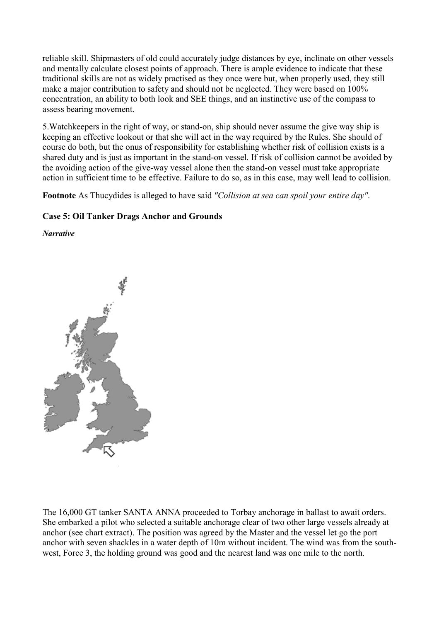<span id="page-11-0"></span>reliable skill. Shipmasters of old could accurately judge distances by eye, inclinate on other vessels and mentally calculate closest points of approach. There is ample evidence to indicate that these traditional skills are not as widely practised as they once were but, when properly used, they still make a major contribution to safety and should not be neglected. They were based on 100% concentration, an ability to both look and SEE things, and an instinctive use of the compass to assess bearing movement.

5.Watchkeepers in the right of way, or stand-on, ship should never assume the give way ship is keeping an effective lookout or that she will act in the way required by the Rules. She should of course do both, but the onus of responsibility for establishing whether risk of collision exists is a shared duty and is just as important in the stand-on vessel. If risk of collision cannot be avoided by the avoiding action of the give-way vessel alone then the stand-on vessel must take appropriate action in sufficient time to be effective. Failure to do so, as in this case, may well lead to collision.

**Footnote** As Thucydides is alleged to have said *"Collision at sea can spoil your entire day"*.

#### **Case 5: Oil Tanker Drags Anchor and Grounds**

*Narrative* 



The 16,000 GT tanker SANTA ANNA proceeded to Torbay anchorage in ballast to await orders. She embarked a pilot who selected a suitable anchorage clear of two other large vessels already at anchor (see chart extract). The position was agreed by the Master and the vessel let go the port anchor with seven shackles in a water depth of 10m without incident. The wind was from the southwest, Force 3, the holding ground was good and the nearest land was one mile to the north.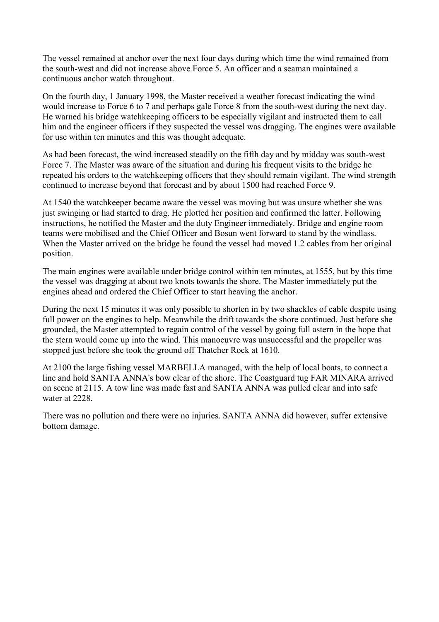The vessel remained at anchor over the next four days during which time the wind remained from the south-west and did not increase above Force 5. An officer and a seaman maintained a continuous anchor watch throughout.

On the fourth day, 1 January 1998, the Master received a weather forecast indicating the wind would increase to Force 6 to 7 and perhaps gale Force 8 from the south-west during the next day. He warned his bridge watchkeeping officers to be especially vigilant and instructed them to call him and the engineer officers if they suspected the vessel was dragging. The engines were available for use within ten minutes and this was thought adequate.

As had been forecast, the wind increased steadily on the fifth day and by midday was south-west Force 7. The Master was aware of the situation and during his frequent visits to the bridge he repeated his orders to the watchkeeping officers that they should remain vigilant. The wind strength continued to increase beyond that forecast and by about 1500 had reached Force 9.

At 1540 the watchkeeper became aware the vessel was moving but was unsure whether she was just swinging or had started to drag. He plotted her position and confirmed the latter. Following instructions, he notified the Master and the duty Engineer immediately. Bridge and engine room teams were mobilised and the Chief Officer and Bosun went forward to stand by the windlass. When the Master arrived on the bridge he found the vessel had moved 1.2 cables from her original position.

The main engines were available under bridge control within ten minutes, at 1555, but by this time the vessel was dragging at about two knots towards the shore. The Master immediately put the engines ahead and ordered the Chief Officer to start heaving the anchor.

During the next 15 minutes it was only possible to shorten in by two shackles of cable despite using full power on the engines to help. Meanwhile the drift towards the shore continued. Just before she grounded, the Master attempted to regain control of the vessel by going full astern in the hope that the stern would come up into the wind. This manoeuvre was unsuccessful and the propeller was stopped just before she took the ground off Thatcher Rock at 1610.

At 2100 the large fishing vessel MARBELLA managed, with the help of local boats, to connect a line and hold SANTA ANNA's bow clear of the shore. The Coastguard tug FAR MINARA arrived on scene at 2115. A tow line was made fast and SANTA ANNA was pulled clear and into safe water at 2228.

There was no pollution and there were no injuries. SANTA ANNA did however, suffer extensive bottom damage.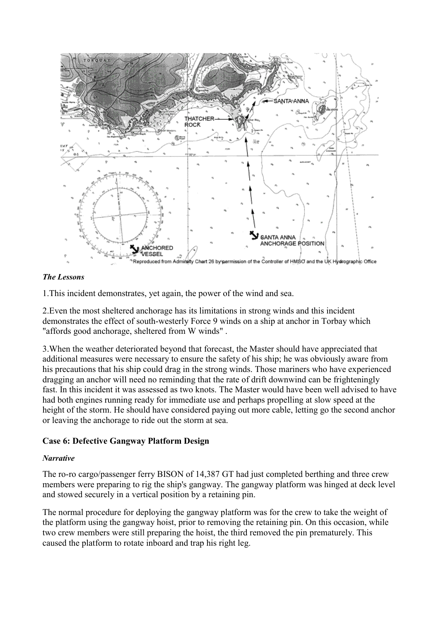<span id="page-13-0"></span>

#### *The Lessons*

1.This incident demonstrates, yet again, the power of the wind and sea.

2.Even the most sheltered anchorage has its limitations in strong winds and this incident demonstrates the effect of south-westerly Force 9 winds on a ship at anchor in Torbay which "affords good anchorage, sheltered from W winds" .

3.When the weather deteriorated beyond that forecast, the Master should have appreciated that additional measures were necessary to ensure the safety of his ship; he was obviously aware from his precautions that his ship could drag in the strong winds. Those mariners who have experienced dragging an anchor will need no reminding that the rate of drift downwind can be frighteningly fast. In this incident it was assessed as two knots. The Master would have been well advised to have had both engines running ready for immediate use and perhaps propelling at slow speed at the height of the storm. He should have considered paying out more cable, letting go the second anchor or leaving the anchorage to ride out the storm at sea.

## **Case 6: Defective Gangway Platform Design**

#### *Narrative*

The ro-ro cargo/passenger ferry BISON of 14,387 GT had just completed berthing and three crew members were preparing to rig the ship's gangway. The gangway platform was hinged at deck level and stowed securely in a vertical position by a retaining pin.

The normal procedure for deploying the gangway platform was for the crew to take the weight of the platform using the gangway hoist, prior to removing the retaining pin. On this occasion, while two crew members were still preparing the hoist, the third removed the pin prematurely. This caused the platform to rotate inboard and trap his right leg.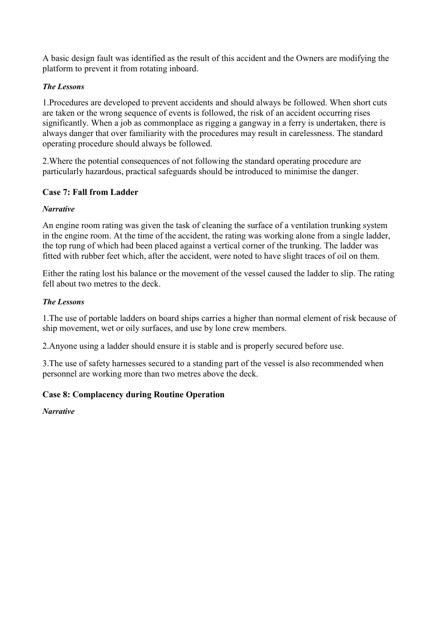<span id="page-14-0"></span>A basic design fault was identified as the result of this accident and the Owners are modifying the platform to prevent it from rotating inboard.

## *The Lessons*

1.Procedures are developed to prevent accidents and should always be followed. When short cuts are taken or the wrong sequence of events is followed, the risk of an accident occurring rises significantly. When a job as commonplace as rigging a gangway in a ferry is undertaken, there is always danger that over familiarity with the procedures may result in carelessness. The standard operating procedure should always be followed.

2.Where the potential consequences of not following the standard operating procedure are particularly hazardous, practical safeguards should be introduced to minimise the danger.

## **Case 7: Fall from Ladder**

## *Narrative*

An engine room rating was given the task of cleaning the surface of a ventilation trunking system in the engine room. At the time of the accident, the rating was working alone from a single ladder, the top rung of which had been placed against a vertical corner of the trunking. The ladder was fitted with rubber feet which, after the accident, were noted to have slight traces of oil on them.

Either the rating lost his balance or the movement of the vessel caused the ladder to slip. The rating fell about two metres to the deck.

## *The Lessons*

1.The use of portable ladders on board ships carries a higher than normal element of risk because of ship movement, wet or oily surfaces, and use by lone crew members.

2.Anyone using a ladder should ensure it is stable and is properly secured before use.

3.The use of safety harnesses secured to a standing part of the vessel is also recommended when personnel are working more than two metres above the deck.

## **Case 8: Complacency during Routine Operation**

*Narrative*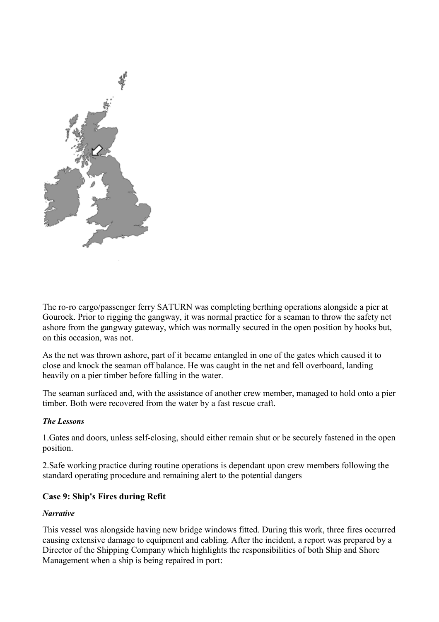<span id="page-15-0"></span>

The ro-ro cargo/passenger ferry SATURN was completing berthing operations alongside a pier at Gourock. Prior to rigging the gangway, it was normal practice for a seaman to throw the safety net ashore from the gangway gateway, which was normally secured in the open position by hooks but, on this occasion, was not.

As the net was thrown ashore, part of it became entangled in one of the gates which caused it to close and knock the seaman off balance. He was caught in the net and fell overboard, landing heavily on a pier timber before falling in the water.

The seaman surfaced and, with the assistance of another crew member, managed to hold onto a pier timber. Both were recovered from the water by a fast rescue craft.

#### *The Lessons*

1.Gates and doors, unless self-closing, should either remain shut or be securely fastened in the open position.

2.Safe working practice during routine operations is dependant upon crew members following the standard operating procedure and remaining alert to the potential dangers

#### **Case 9: Ship's Fires during Refit**

#### *Narrative*

This vessel was alongside having new bridge windows fitted. During this work, three fires occurred causing extensive damage to equipment and cabling. After the incident, a report was prepared by a Director of the Shipping Company which highlights the responsibilities of both Ship and Shore Management when a ship is being repaired in port: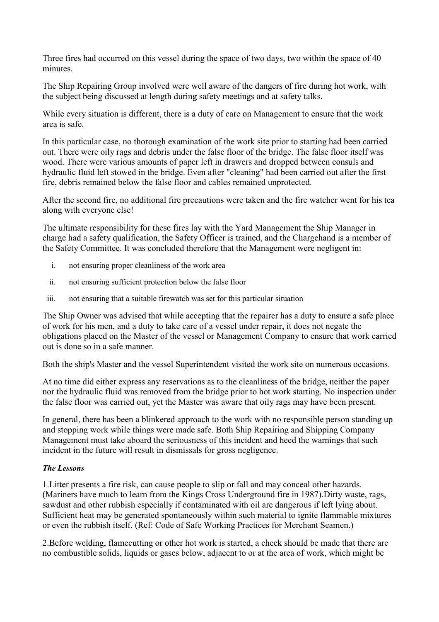Three fires had occurred on this vessel during the space of two days, two within the space of 40 minutes.

The Ship Repairing Group involved were well aware of the dangers of fire during hot work, with the subject being discussed at length during safety meetings and at safety talks.

While every situation is different, there is a duty of care on Management to ensure that the work area is safe.

In this particular case, no thorough examination of the work site prior to starting had been carried out. There were oily rags and debris under the false floor of the bridge. The false floor itself was wood. There were various amounts of paper left in drawers and dropped between consuls and hydraulic fluid left stowed in the bridge. Even after "cleaning" had been carried out after the first fire, debris remained below the false floor and cables remained unprotected.

After the second fire, no additional fire precautions were taken and the fire watcher went for his tea along with everyone else!

The ultimate responsibility for these fires lay with the Yard Management the Ship Manager in charge had a safety qualification, the Safety Officer is trained, and the Chargehand is a member of the Safety Committee. It was concluded therefore that the Management were negligent in:

- i. not ensuring proper cleanliness of the work area
- ii. not ensuring sufficient protection below the false floor
- iii. not ensuring that a suitable firewatch was set for this particular situation

The Ship Owner was advised that while accepting that the repairer has a duty to ensure a safe place of work for his men, and a duty to take care of a vessel under repair, it does not negate the obligations placed on the Master of the vessel or Management Company to ensure that work carried out is done so in a safe manner.

Both the ship's Master and the vessel Superintendent visited the work site on numerous occasions.

At no time did either express any reservations as to the cleanliness of the bridge, neither the paper nor the hydraulic fluid was removed from the bridge prior to hot work starting. No inspection under the false floor was carried out, yet the Master was aware that oily rags may have been present.

In general, there has been a blinkered approach to the work with no responsible person standing up and stopping work while things were made safe. Both Ship Repairing and Shipping Company Management must take aboard the seriousness of this incident and heed the warnings that such incident in the future will result in dismissals for gross negligence.

## *The Lessons*

1.Litter presents a fire risk, can cause people to slip or fall and may conceal other hazards. (Mariners have much to learn from the Kings Cross Underground fire in 1987).Dirty waste, rags, sawdust and other rubbish especially if contaminated with oil are dangerous if left lying about. Sufficient heat may be generated spontaneously within such material to ignite flammable mixtures or even the rubbish itself. (Ref: Code of Safe Working Practices for Merchant Seamen.)

2.Before welding, flamecutting or other hot work is started, a check should be made that there are no combustible solids, liquids or gases below, adjacent to or at the area of work, which might be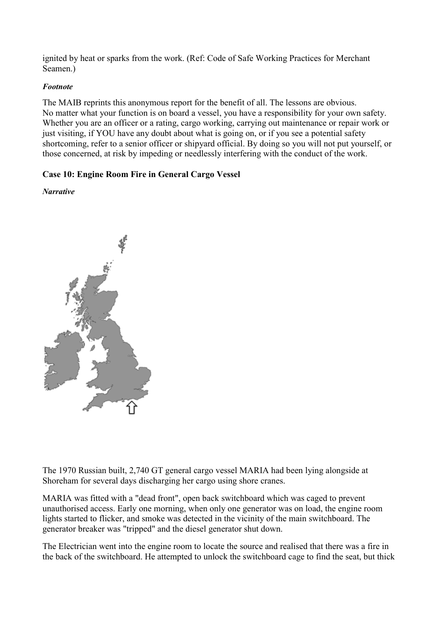<span id="page-17-0"></span>ignited by heat or sparks from the work. (Ref: Code of Safe Working Practices for Merchant Seamen.)

#### *Footnote*

The MAIB reprints this anonymous report for the benefit of all. The lessons are obvious. No matter what your function is on board a vessel, you have a responsibility for your own safety. Whether you are an officer or a rating, cargo working, carrying out maintenance or repair work or just visiting, if YOU have any doubt about what is going on, or if you see a potential safety shortcoming, refer to a senior officer or shipyard official. By doing so you will not put yourself, or those concerned, at risk by impeding or needlessly interfering with the conduct of the work.

## **Case 10: Engine Room Fire in General Cargo Vessel**

#### *Narrative*



The 1970 Russian built, 2,740 GT general cargo vessel MARIA had been lying alongside at Shoreham for several days discharging her cargo using shore cranes.

MARIA was fitted with a "dead front", open back switchboard which was caged to prevent unauthorised access. Early one morning, when only one generator was on load, the engine room lights started to flicker, and smoke was detected in the vicinity of the main switchboard. The generator breaker was "tripped" and the diesel generator shut down.

The Electrician went into the engine room to locate the source and realised that there was a fire in the back of the switchboard. He attempted to unlock the switchboard cage to find the seat, but thick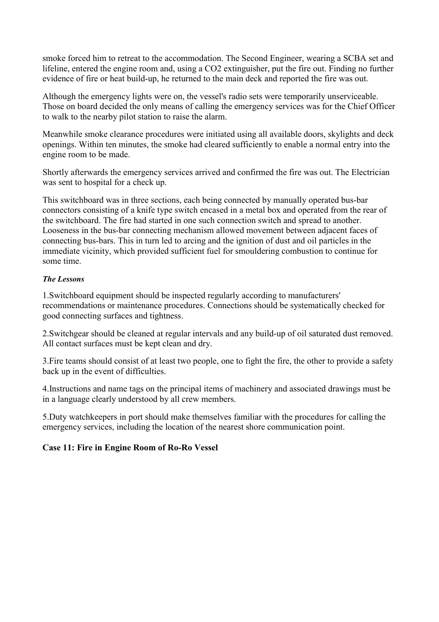<span id="page-18-0"></span>smoke forced him to retreat to the accommodation. The Second Engineer, wearing a SCBA set and lifeline, entered the engine room and, using a CO2 extinguisher, put the fire out. Finding no further evidence of fire or heat build-up, he returned to the main deck and reported the fire was out.

Although the emergency lights were on, the vessel's radio sets were temporarily unserviceable. Those on board decided the only means of calling the emergency services was for the Chief Officer to walk to the nearby pilot station to raise the alarm.

Meanwhile smoke clearance procedures were initiated using all available doors, skylights and deck openings. Within ten minutes, the smoke had cleared sufficiently to enable a normal entry into the engine room to be made.

Shortly afterwards the emergency services arrived and confirmed the fire was out. The Electrician was sent to hospital for a check up.

This switchboard was in three sections, each being connected by manually operated bus-bar connectors consisting of a knife type switch encased in a metal box and operated from the rear of the switchboard. The fire had started in one such connection switch and spread to another. Looseness in the bus-bar connecting mechanism allowed movement between adjacent faces of connecting bus-bars. This in turn led to arcing and the ignition of dust and oil particles in the immediate vicinity, which provided sufficient fuel for smouldering combustion to continue for some time.

## *The Lessons*

1.Switchboard equipment should be inspected regularly according to manufacturers' recommendations or maintenance procedures. Connections should be systematically checked for good connecting surfaces and tightness.

2.Switchgear should be cleaned at regular intervals and any build-up of oil saturated dust removed. All contact surfaces must be kept clean and dry.

3.Fire teams should consist of at least two people, one to fight the fire, the other to provide a safety back up in the event of difficulties.

4.Instructions and name tags on the principal items of machinery and associated drawings must be in a language clearly understood by all crew members.

5.Duty watchkeepers in port should make themselves familiar with the procedures for calling the emergency services, including the location of the nearest shore communication point.

## **Case 11: Fire in Engine Room of Ro-Ro Vessel**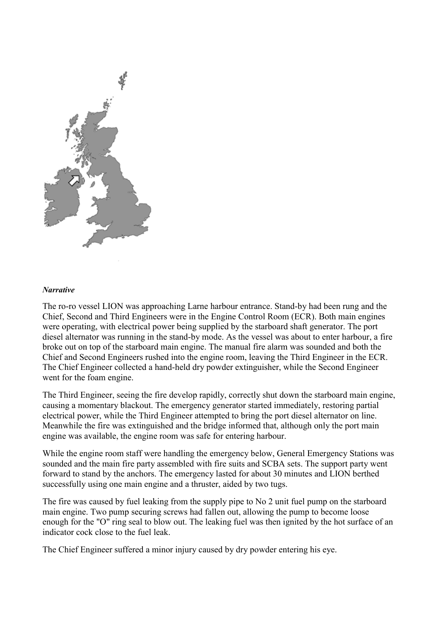

#### *Narrative*

The ro-ro vessel LION was approaching Larne harbour entrance. Stand-by had been rung and the Chief, Second and Third Engineers were in the Engine Control Room (ECR). Both main engines were operating, with electrical power being supplied by the starboard shaft generator. The port diesel alternator was running in the stand-by mode. As the vessel was about to enter harbour, a fire broke out on top of the starboard main engine. The manual fire alarm was sounded and both the Chief and Second Engineers rushed into the engine room, leaving the Third Engineer in the ECR. The Chief Engineer collected a hand-held dry powder extinguisher, while the Second Engineer went for the foam engine.

The Third Engineer, seeing the fire develop rapidly, correctly shut down the starboard main engine, causing a momentary blackout. The emergency generator started immediately, restoring partial electrical power, while the Third Engineer attempted to bring the port diesel alternator on line. Meanwhile the fire was extinguished and the bridge informed that, although only the port main engine was available, the engine room was safe for entering harbour.

While the engine room staff were handling the emergency below, General Emergency Stations was sounded and the main fire party assembled with fire suits and SCBA sets. The support party went forward to stand by the anchors. The emergency lasted for about 30 minutes and LION berthed successfully using one main engine and a thruster, aided by two tugs.

The fire was caused by fuel leaking from the supply pipe to No 2 unit fuel pump on the starboard main engine. Two pump securing screws had fallen out, allowing the pump to become loose enough for the "O" ring seal to blow out. The leaking fuel was then ignited by the hot surface of an indicator cock close to the fuel leak.

The Chief Engineer suffered a minor injury caused by dry powder entering his eye.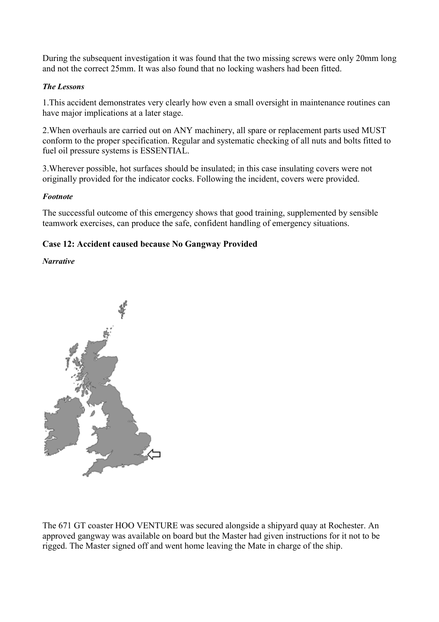<span id="page-20-0"></span>During the subsequent investigation it was found that the two missing screws were only 20mm long and not the correct 25mm. It was also found that no locking washers had been fitted.

#### *The Lessons*

1.This accident demonstrates very clearly how even a small oversight in maintenance routines can have major implications at a later stage.

2.When overhauls are carried out on ANY machinery, all spare or replacement parts used MUST conform to the proper specification. Regular and systematic checking of all nuts and bolts fitted to fuel oil pressure systems is ESSENTIAL.

3.Wherever possible, hot surfaces should be insulated; in this case insulating covers were not originally provided for the indicator cocks. Following the incident, covers were provided.

#### *Footnote*

The successful outcome of this emergency shows that good training, supplemented by sensible teamwork exercises, can produce the safe, confident handling of emergency situations.

## **Case 12: Accident caused because No Gangway Provided**

#### *Narrative*



The 671 GT coaster HOO VENTURE was secured alongside a shipyard quay at Rochester. An approved gangway was available on board but the Master had given instructions for it not to be rigged. The Master signed off and went home leaving the Mate in charge of the ship.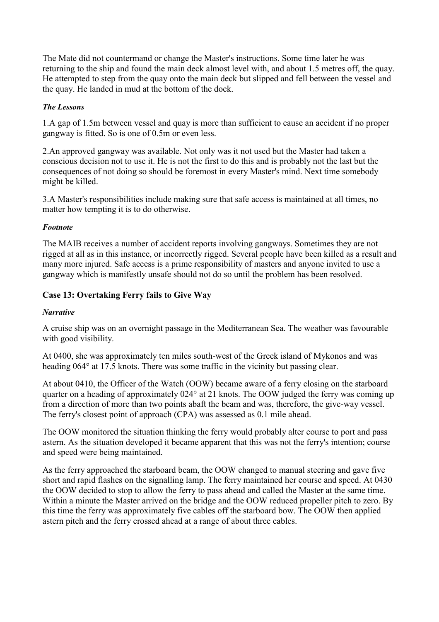<span id="page-21-0"></span>The Mate did not countermand or change the Master's instructions. Some time later he was returning to the ship and found the main deck almost level with, and about 1.5 metres off, the quay. He attempted to step from the quay onto the main deck but slipped and fell between the vessel and the quay. He landed in mud at the bottom of the dock.

#### *The Lessons*

1.A gap of 1.5m between vessel and quay is more than sufficient to cause an accident if no proper gangway is fitted. So is one of 0.5m or even less.

2.An approved gangway was available. Not only was it not used but the Master had taken a conscious decision not to use it. He is not the first to do this and is probably not the last but the consequences of not doing so should be foremost in every Master's mind. Next time somebody might be killed.

3.A Master's responsibilities include making sure that safe access is maintained at all times, no matter how tempting it is to do otherwise.

#### *Footnote*

The MAIB receives a number of accident reports involving gangways. Sometimes they are not rigged at all as in this instance, or incorrectly rigged. Several people have been killed as a result and many more injured. Safe access is a prime responsibility of masters and anyone invited to use a gangway which is manifestly unsafe should not do so until the problem has been resolved.

## **Case 13: Overtaking Ferry fails to Give Way**

### *Narrative*

A cruise ship was on an overnight passage in the Mediterranean Sea. The weather was favourable with good visibility.

At 0400, she was approximately ten miles south-west of the Greek island of Mykonos and was heading 064° at 17.5 knots. There was some traffic in the vicinity but passing clear.

At about 0410, the Officer of the Watch (OOW) became aware of a ferry closing on the starboard quarter on a heading of approximately 024° at 21 knots. The OOW judged the ferry was coming up from a direction of more than two points abaft the beam and was, therefore, the give-way vessel. The ferry's closest point of approach (CPA) was assessed as 0.1 mile ahead.

The OOW monitored the situation thinking the ferry would probably alter course to port and pass astern. As the situation developed it became apparent that this was not the ferry's intention; course and speed were being maintained.

As the ferry approached the starboard beam, the OOW changed to manual steering and gave five short and rapid flashes on the signalling lamp. The ferry maintained her course and speed. At 0430 the OOW decided to stop to allow the ferry to pass ahead and called the Master at the same time. Within a minute the Master arrived on the bridge and the OOW reduced propeller pitch to zero. By this time the ferry was approximately five cables off the starboard bow. The OOW then applied astern pitch and the ferry crossed ahead at a range of about three cables.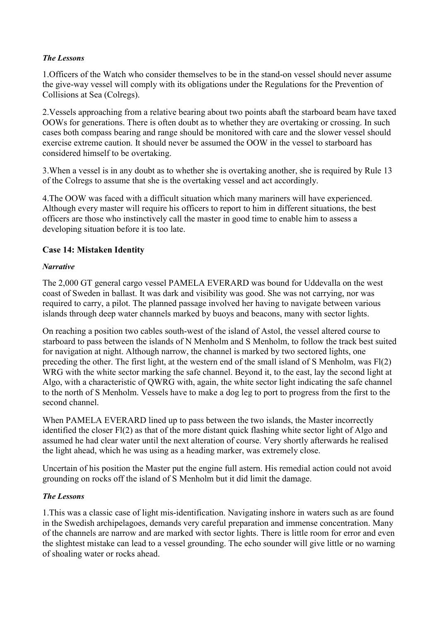#### <span id="page-22-0"></span>*The Lessons*

1.Officers of the Watch who consider themselves to be in the stand-on vessel should never assume the give-way vessel will comply with its obligations under the Regulations for the Prevention of Collisions at Sea (Colregs).

2.Vessels approaching from a relative bearing about two points abaft the starboard beam have taxed OOWs for generations. There is often doubt as to whether they are overtaking or crossing. In such cases both compass bearing and range should be monitored with care and the slower vessel should exercise extreme caution. It should never be assumed the OOW in the vessel to starboard has considered himself to be overtaking.

3.When a vessel is in any doubt as to whether she is overtaking another, she is required by Rule 13 of the Colregs to assume that she is the overtaking vessel and act accordingly.

4.The OOW was faced with a difficult situation which many mariners will have experienced. Although every master will require his officers to report to him in different situations, the best officers are those who instinctively call the master in good time to enable him to assess a developing situation before it is too late.

## **Case 14: Mistaken Identity**

#### *Narrative*

The 2,000 GT general cargo vessel PAMELA EVERARD was bound for Uddevalla on the west coast of Sweden in ballast. It was dark and visibility was good. She was not carrying, nor was required to carry, a pilot. The planned passage involved her having to navigate between various islands through deep water channels marked by buoys and beacons, many with sector lights.

On reaching a position two cables south-west of the island of Astol, the vessel altered course to starboard to pass between the islands of N Menholm and S Menholm, to follow the track best suited for navigation at night. Although narrow, the channel is marked by two sectored lights, one preceding the other. The first light, at the western end of the small island of S Menholm, was Fl(2) WRG with the white sector marking the safe channel. Beyond it, to the east, lay the second light at Algo, with a characteristic of QWRG with, again, the white sector light indicating the safe channel to the north of S Menholm. Vessels have to make a dog leg to port to progress from the first to the second channel.

When PAMELA EVERARD lined up to pass between the two islands, the Master incorrectly identified the closer Fl(2) as that of the more distant quick flashing white sector light of Algo and assumed he had clear water until the next alteration of course. Very shortly afterwards he realised the light ahead, which he was using as a heading marker, was extremely close.

Uncertain of his position the Master put the engine full astern. His remedial action could not avoid grounding on rocks off the island of S Menholm but it did limit the damage.

#### *The Lessons*

1.This was a classic case of light mis-identification. Navigating inshore in waters such as are found in the Swedish archipelagoes, demands very careful preparation and immense concentration. Many of the channels are narrow and are marked with sector lights. There is little room for error and even the slightest mistake can lead to a vessel grounding. The echo sounder will give little or no warning of shoaling water or rocks ahead.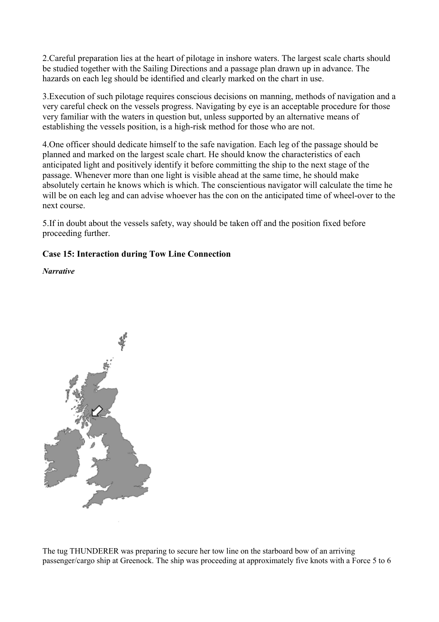<span id="page-23-0"></span>2.Careful preparation lies at the heart of pilotage in inshore waters. The largest scale charts should be studied together with the Sailing Directions and a passage plan drawn up in advance. The hazards on each leg should be identified and clearly marked on the chart in use.

3.Execution of such pilotage requires conscious decisions on manning, methods of navigation and a very careful check on the vessels progress. Navigating by eye is an acceptable procedure for those very familiar with the waters in question but, unless supported by an alternative means of establishing the vessels position, is a high-risk method for those who are not.

4.One officer should dedicate himself to the safe navigation. Each leg of the passage should be planned and marked on the largest scale chart. He should know the characteristics of each anticipated light and positively identify it before committing the ship to the next stage of the passage. Whenever more than one light is visible ahead at the same time, he should make absolutely certain he knows which is which. The conscientious navigator will calculate the time he will be on each leg and can advise whoever has the con on the anticipated time of wheel-over to the next course.

5.If in doubt about the vessels safety, way should be taken off and the position fixed before proceeding further.

## **Case 15: Interaction during Tow Line Connection**

*Narrative* 



The tug THUNDERER was preparing to secure her tow line on the starboard bow of an arriving passenger/cargo ship at Greenock. The ship was proceeding at approximately five knots with a Force 5 to 6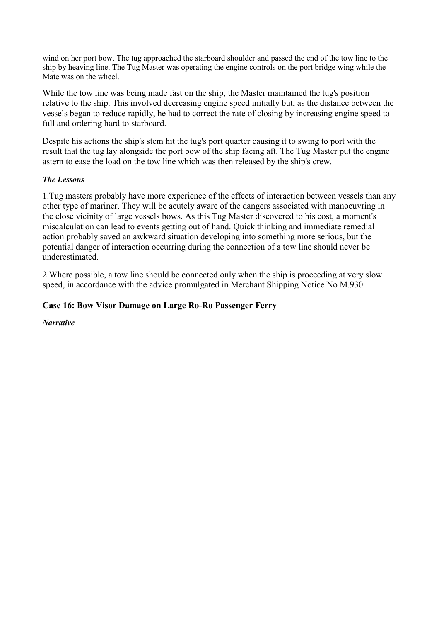<span id="page-24-0"></span>wind on her port bow. The tug approached the starboard shoulder and passed the end of the tow line to the ship by heaving line. The Tug Master was operating the engine controls on the port bridge wing while the Mate was on the wheel.

While the tow line was being made fast on the ship, the Master maintained the tug's position relative to the ship. This involved decreasing engine speed initially but, as the distance between the vessels began to reduce rapidly, he had to correct the rate of closing by increasing engine speed to full and ordering hard to starboard.

Despite his actions the ship's stem hit the tug's port quarter causing it to swing to port with the result that the tug lay alongside the port bow of the ship facing aft. The Tug Master put the engine astern to ease the load on the tow line which was then released by the ship's crew.

#### *The Lessons*

1.Tug masters probably have more experience of the effects of interaction between vessels than any other type of mariner. They will be acutely aware of the dangers associated with manoeuvring in the close vicinity of large vessels bows. As this Tug Master discovered to his cost, a moment's miscalculation can lead to events getting out of hand. Quick thinking and immediate remedial action probably saved an awkward situation developing into something more serious, but the potential danger of interaction occurring during the connection of a tow line should never be underestimated.

2.Where possible, a tow line should be connected only when the ship is proceeding at very slow speed, in accordance with the advice promulgated in Merchant Shipping Notice No M.930.

## **Case 16: Bow Visor Damage on Large Ro-Ro Passenger Ferry**

*Narrative*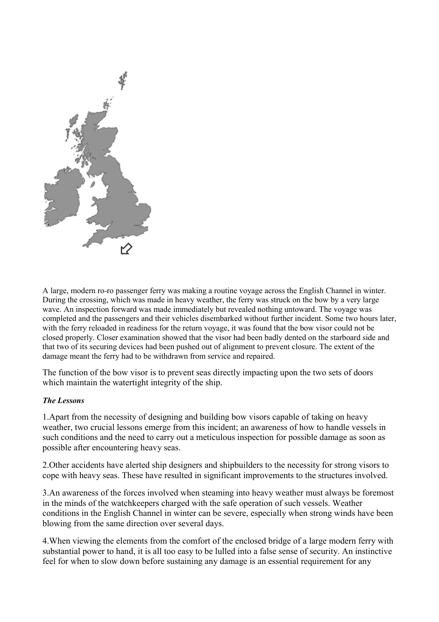

A large, modern ro-ro passenger ferry was making a routine voyage across the English Channel in winter. During the crossing, which was made in heavy weather, the ferry was struck on the bow by a very large wave. An inspection forward was made immediately but revealed nothing untoward. The voyage was completed and the passengers and their vehicles disembarked without further incident. Some two hours later, with the ferry reloaded in readiness for the return voyage, it was found that the bow visor could not be closed properly. Closer examination showed that the visor had been badly dented on the starboard side and that two of its securing devices had been pushed out of alignment to prevent closure. The extent of the damage meant the ferry had to be withdrawn from service and repaired.

The function of the bow visor is to prevent seas directly impacting upon the two sets of doors which maintain the watertight integrity of the ship.

#### *The Lessons*

1.Apart from the necessity of designing and building bow visors capable of taking on heavy weather, two crucial lessons emerge from this incident; an awareness of how to handle vessels in such conditions and the need to carry out a meticulous inspection for possible damage as soon as possible after encountering heavy seas.

2.Other accidents have alerted ship designers and shipbuilders to the necessity for strong visors to cope with heavy seas. These have resulted in significant improvements to the structures involved.

3.An awareness of the forces involved when steaming into heavy weather must always be foremost in the minds of the watchkeepers charged with the safe operation of such vessels. Weather conditions in the English Channel in winter can be severe, especially when strong winds have been blowing from the same direction over several days.

4.When viewing the elements from the comfort of the enclosed bridge of a large modern ferry with substantial power to hand, it is all too easy to be lulled into a false sense of security. An instinctive feel for when to slow down before sustaining any damage is an essential requirement for any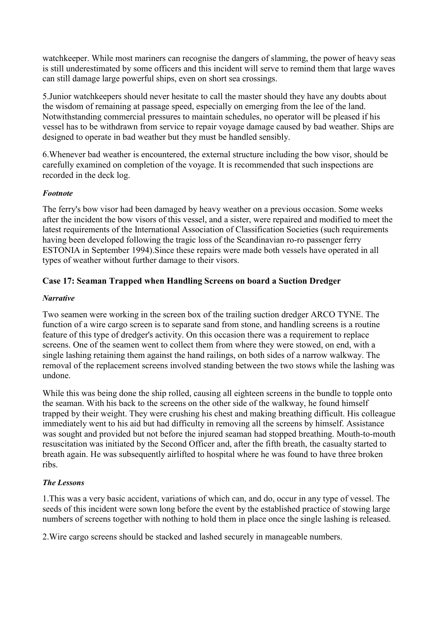<span id="page-26-0"></span>watchkeeper. While most mariners can recognise the dangers of slamming, the power of heavy seas is still underestimated by some officers and this incident will serve to remind them that large waves can still damage large powerful ships, even on short sea crossings.

5.Junior watchkeepers should never hesitate to call the master should they have any doubts about the wisdom of remaining at passage speed, especially on emerging from the lee of the land. Notwithstanding commercial pressures to maintain schedules, no operator will be pleased if his vessel has to be withdrawn from service to repair voyage damage caused by bad weather. Ships are designed to operate in bad weather but they must be handled sensibly.

6.Whenever bad weather is encountered, the external structure including the bow visor, should be carefully examined on completion of the voyage. It is recommended that such inspections are recorded in the deck log.

## *Footnote*

The ferry's bow visor had been damaged by heavy weather on a previous occasion. Some weeks after the incident the bow visors of this vessel, and a sister, were repaired and modified to meet the latest requirements of the International Association of Classification Societies (such requirements having been developed following the tragic loss of the Scandinavian ro-ro passenger ferry ESTONIA in September 1994).Since these repairs were made both vessels have operated in all types of weather without further damage to their visors.

## **Case 17: Seaman Trapped when Handling Screens on board a Suction Dredger**

#### *Narrative*

Two seamen were working in the screen box of the trailing suction dredger ARCO TYNE. The function of a wire cargo screen is to separate sand from stone, and handling screens is a routine feature of this type of dredger's activity. On this occasion there was a requirement to replace screens. One of the seamen went to collect them from where they were stowed, on end, with a single lashing retaining them against the hand railings, on both sides of a narrow walkway. The removal of the replacement screens involved standing between the two stows while the lashing was undone.

While this was being done the ship rolled, causing all eighteen screens in the bundle to topple onto the seaman. With his back to the screens on the other side of the walkway, he found himself trapped by their weight. They were crushing his chest and making breathing difficult. His colleague immediately went to his aid but had difficulty in removing all the screens by himself. Assistance was sought and provided but not before the injured seaman had stopped breathing. Mouth-to-mouth resuscitation was initiated by the Second Officer and, after the fifth breath, the casualty started to breath again. He was subsequently airlifted to hospital where he was found to have three broken ribs.

## *The Lessons*

1.This was a very basic accident, variations of which can, and do, occur in any type of vessel. The seeds of this incident were sown long before the event by the established practice of stowing large numbers of screens together with nothing to hold them in place once the single lashing is released.

2.Wire cargo screens should be stacked and lashed securely in manageable numbers.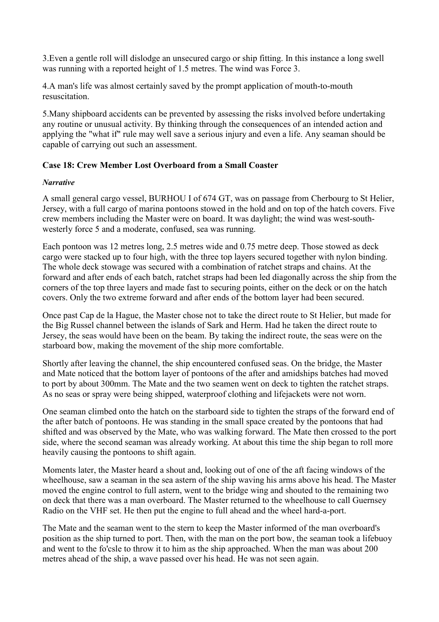<span id="page-27-0"></span>3.Even a gentle roll will dislodge an unsecured cargo or ship fitting. In this instance a long swell was running with a reported height of 1.5 metres. The wind was Force 3.

4.A man's life was almost certainly saved by the prompt application of mouth-to-mouth resuscitation.

5.Many shipboard accidents can be prevented by assessing the risks involved before undertaking any routine or unusual activity. By thinking through the consequences of an intended action and applying the "what if" rule may well save a serious injury and even a life. Any seaman should be capable of carrying out such an assessment.

#### **Case 18: Crew Member Lost Overboard from a Small Coaster**

#### *Narrative*

A small general cargo vessel, BURHOU I of 674 GT, was on passage from Cherbourg to St Helier, Jersey, with a full cargo of marina pontoons stowed in the hold and on top of the hatch covers. Five crew members including the Master were on board. It was daylight; the wind was west-southwesterly force 5 and a moderate, confused, sea was running.

Each pontoon was 12 metres long, 2.5 metres wide and 0.75 metre deep. Those stowed as deck cargo were stacked up to four high, with the three top layers secured together with nylon binding. The whole deck stowage was secured with a combination of ratchet straps and chains. At the forward and after ends of each batch, ratchet straps had been led diagonally across the ship from the corners of the top three layers and made fast to securing points, either on the deck or on the hatch covers. Only the two extreme forward and after ends of the bottom layer had been secured.

Once past Cap de la Hague, the Master chose not to take the direct route to St Helier, but made for the Big Russel channel between the islands of Sark and Herm. Had he taken the direct route to Jersey, the seas would have been on the beam. By taking the indirect route, the seas were on the starboard bow, making the movement of the ship more comfortable.

Shortly after leaving the channel, the ship encountered confused seas. On the bridge, the Master and Mate noticed that the bottom layer of pontoons of the after and amidships batches had moved to port by about 300mm. The Mate and the two seamen went on deck to tighten the ratchet straps. As no seas or spray were being shipped, waterproof clothing and lifejackets were not worn.

One seaman climbed onto the hatch on the starboard side to tighten the straps of the forward end of the after batch of pontoons. He was standing in the small space created by the pontoons that had shifted and was observed by the Mate, who was walking forward. The Mate then crossed to the port side, where the second seaman was already working. At about this time the ship began to roll more heavily causing the pontoons to shift again.

Moments later, the Master heard a shout and, looking out of one of the aft facing windows of the wheelhouse, saw a seaman in the sea astern of the ship waving his arms above his head. The Master moved the engine control to full astern, went to the bridge wing and shouted to the remaining two on deck that there was a man overboard. The Master returned to the wheelhouse to call Guernsey Radio on the VHF set. He then put the engine to full ahead and the wheel hard-a-port.

The Mate and the seaman went to the stern to keep the Master informed of the man overboard's position as the ship turned to port. Then, with the man on the port bow, the seaman took a lifebuoy and went to the fo'csle to throw it to him as the ship approached. When the man was about 200 metres ahead of the ship, a wave passed over his head. He was not seen again.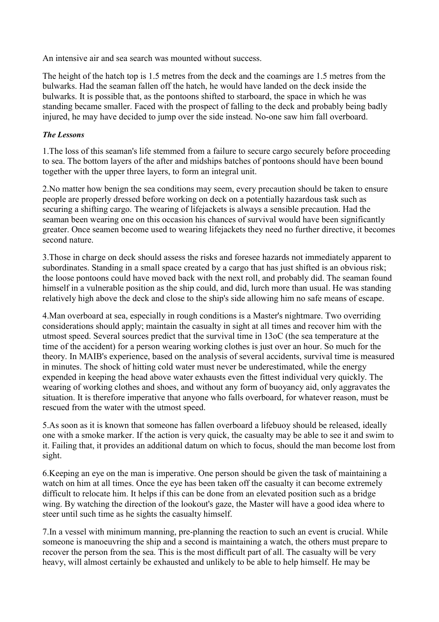An intensive air and sea search was mounted without success.

The height of the hatch top is 1.5 metres from the deck and the coamings are 1.5 metres from the bulwarks. Had the seaman fallen off the hatch, he would have landed on the deck inside the bulwarks. It is possible that, as the pontoons shifted to starboard, the space in which he was standing became smaller. Faced with the prospect of falling to the deck and probably being badly injured, he may have decided to jump over the side instead. No-one saw him fall overboard.

#### *The Lessons*

1.The loss of this seaman's life stemmed from a failure to secure cargo securely before proceeding to sea. The bottom layers of the after and midships batches of pontoons should have been bound together with the upper three layers, to form an integral unit.

2.No matter how benign the sea conditions may seem, every precaution should be taken to ensure people are properly dressed before working on deck on a potentially hazardous task such as securing a shifting cargo. The wearing of lifejackets is always a sensible precaution. Had the seaman been wearing one on this occasion his chances of survival would have been significantly greater. Once seamen become used to wearing lifejackets they need no further directive, it becomes second nature.

3.Those in charge on deck should assess the risks and foresee hazards not immediately apparent to subordinates. Standing in a small space created by a cargo that has just shifted is an obvious risk; the loose pontoons could have moved back with the next roll, and probably did. The seaman found himself in a vulnerable position as the ship could, and did, lurch more than usual. He was standing relatively high above the deck and close to the ship's side allowing him no safe means of escape.

4.Man overboard at sea, especially in rough conditions is a Master's nightmare. Two overriding considerations should apply; maintain the casualty in sight at all times and recover him with the utmost speed. Several sources predict that the survival time in 13oC (the sea temperature at the time of the accident) for a person wearing working clothes is just over an hour. So much for the theory. In MAIB's experience, based on the analysis of several accidents, survival time is measured in minutes. The shock of hitting cold water must never be underestimated, while the energy expended in keeping the head above water exhausts even the fittest individual very quickly. The wearing of working clothes and shoes, and without any form of buoyancy aid, only aggravates the situation. It is therefore imperative that anyone who falls overboard, for whatever reason, must be rescued from the water with the utmost speed.

5.As soon as it is known that someone has fallen overboard a lifebuoy should be released, ideally one with a smoke marker. If the action is very quick, the casualty may be able to see it and swim to it. Failing that, it provides an additional datum on which to focus, should the man become lost from sight.

6.Keeping an eye on the man is imperative. One person should be given the task of maintaining a watch on him at all times. Once the eye has been taken off the casualty it can become extremely difficult to relocate him. It helps if this can be done from an elevated position such as a bridge wing. By watching the direction of the lookout's gaze, the Master will have a good idea where to steer until such time as he sights the casualty himself.

7.In a vessel with minimum manning, pre-planning the reaction to such an event is crucial. While someone is manoeuvring the ship and a second is maintaining a watch, the others must prepare to recover the person from the sea. This is the most difficult part of all. The casualty will be very heavy, will almost certainly be exhausted and unlikely to be able to help himself. He may be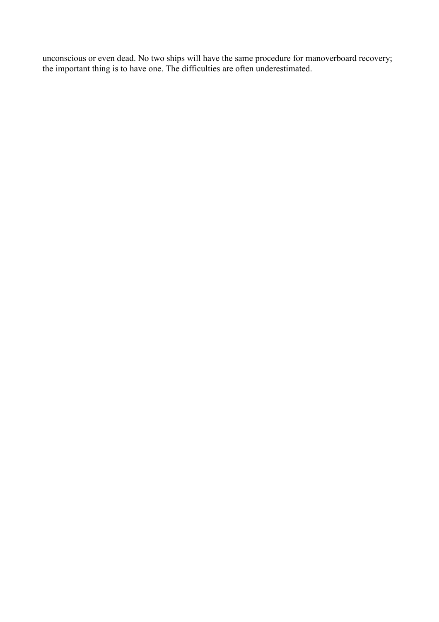unconscious or even dead. No two ships will have the same procedure for manoverboard recovery; the important thing is to have one. The difficulties are often underestimated.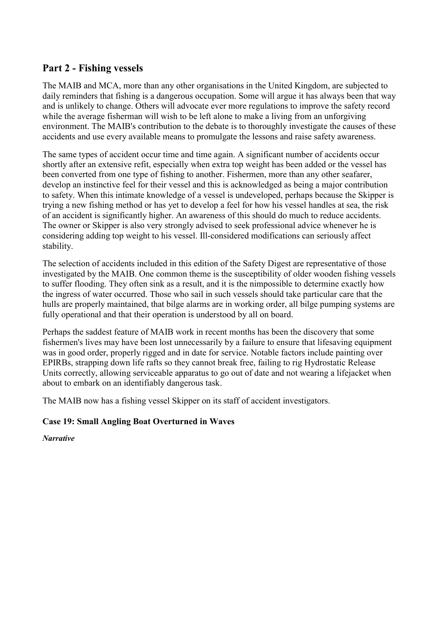## <span id="page-30-0"></span>**Part 2 - Fishing vessels**

The MAIB and MCA, more than any other organisations in the United Kingdom, are subjected to daily reminders that fishing is a dangerous occupation. Some will argue it has always been that way and is unlikely to change. Others will advocate ever more regulations to improve the safety record while the average fisherman will wish to be left alone to make a living from an unforgiving environment. The MAIB's contribution to the debate is to thoroughly investigate the causes of these accidents and use every available means to promulgate the lessons and raise safety awareness.

The same types of accident occur time and time again. A significant number of accidents occur shortly after an extensive refit, especially when extra top weight has been added or the vessel has been converted from one type of fishing to another. Fishermen, more than any other seafarer, develop an instinctive feel for their vessel and this is acknowledged as being a major contribution to safety. When this intimate knowledge of a vessel is undeveloped, perhaps because the Skipper is trying a new fishing method or has yet to develop a feel for how his vessel handles at sea, the risk of an accident is significantly higher. An awareness of this should do much to reduce accidents. The owner or Skipper is also very strongly advised to seek professional advice whenever he is considering adding top weight to his vessel. Ill-considered modifications can seriously affect stability.

The selection of accidents included in this edition of the Safety Digest are representative of those investigated by the MAIB. One common theme is the susceptibility of older wooden fishing vessels to suffer flooding. They often sink as a result, and it is the nimpossible to determine exactly how the ingress of water occurred. Those who sail in such vessels should take particular care that the hulls are properly maintained, that bilge alarms are in working order, all bilge pumping systems are fully operational and that their operation is understood by all on board.

Perhaps the saddest feature of MAIB work in recent months has been the discovery that some fishermen's lives may have been lost unnecessarily by a failure to ensure that lifesaving equipment was in good order, properly rigged and in date for service. Notable factors include painting over EPIRBs, strapping down life rafts so they cannot break free, failing to rig Hydrostatic Release Units correctly, allowing serviceable apparatus to go out of date and not wearing a lifejacket when about to embark on an identifiably dangerous task.

The MAIB now has a fishing vessel Skipper on its staff of accident investigators.

## **Case 19: Small Angling Boat Overturned in Waves**

*Narrative*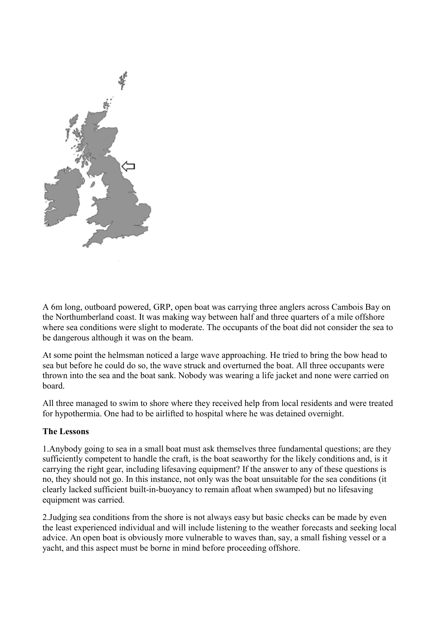

A 6m long, outboard powered, GRP, open boat was carrying three anglers across Cambois Bay on the Northumberland coast. It was making way between half and three quarters of a mile offshore where sea conditions were slight to moderate. The occupants of the boat did not consider the sea to be dangerous although it was on the beam.

At some point the helmsman noticed a large wave approaching. He tried to bring the bow head to sea but before he could do so, the wave struck and overturned the boat. All three occupants were thrown into the sea and the boat sank. Nobody was wearing a life jacket and none were carried on board.

All three managed to swim to shore where they received help from local residents and were treated for hypothermia. One had to be airlifted to hospital where he was detained overnight.

## **The Lessons**

1.Anybody going to sea in a small boat must ask themselves three fundamental questions; are they sufficiently competent to handle the craft, is the boat seaworthy for the likely conditions and, is it carrying the right gear, including lifesaving equipment? If the answer to any of these questions is no, they should not go. In this instance, not only was the boat unsuitable for the sea conditions (it clearly lacked sufficient built-in-buoyancy to remain afloat when swamped) but no lifesaving equipment was carried.

2.Judging sea conditions from the shore is not always easy but basic checks can be made by even the least experienced individual and will include listening to the weather forecasts and seeking local advice. An open boat is obviously more vulnerable to waves than, say, a small fishing vessel or a yacht, and this aspect must be borne in mind before proceeding offshore.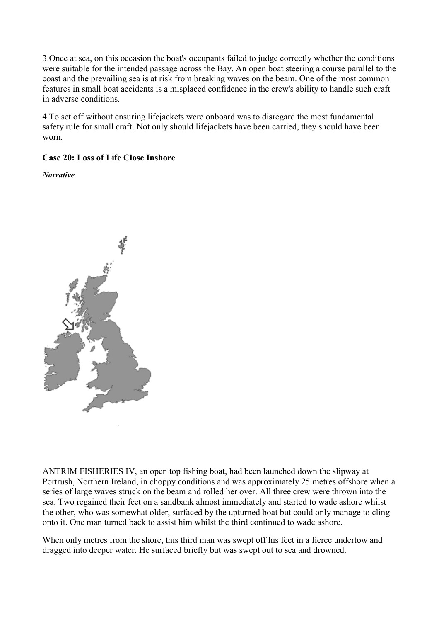<span id="page-32-0"></span>3.Once at sea, on this occasion the boat's occupants failed to judge correctly whether the conditions were suitable for the intended passage across the Bay. An open boat steering a course parallel to the coast and the prevailing sea is at risk from breaking waves on the beam. One of the most common features in small boat accidents is a misplaced confidence in the crew's ability to handle such craft in adverse conditions.

4.To set off without ensuring lifejackets were onboard was to disregard the most fundamental safety rule for small craft. Not only should lifejackets have been carried, they should have been worn.

## **Case 20: Loss of Life Close Inshore**

*Narrative* 



ANTRIM FISHERIES IV, an open top fishing boat, had been launched down the slipway at Portrush, Northern Ireland, in choppy conditions and was approximately 25 metres offshore when a series of large waves struck on the beam and rolled her over. All three crew were thrown into the sea. Two regained their feet on a sandbank almost immediately and started to wade ashore whilst the other, who was somewhat older, surfaced by the upturned boat but could only manage to cling onto it. One man turned back to assist him whilst the third continued to wade ashore.

When only metres from the shore, this third man was swept off his feet in a fierce undertow and dragged into deeper water. He surfaced briefly but was swept out to sea and drowned.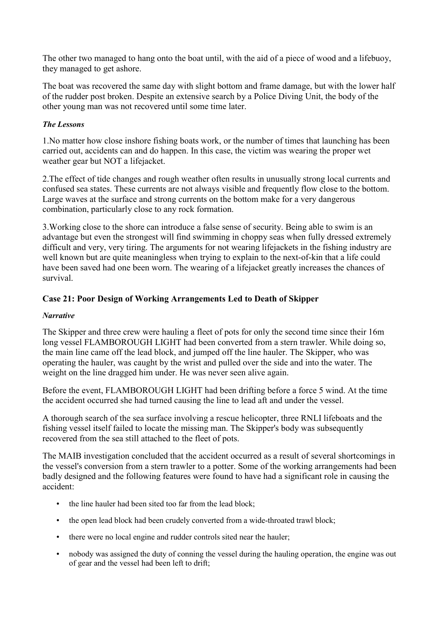<span id="page-33-0"></span>The other two managed to hang onto the boat until, with the aid of a piece of wood and a lifebuoy, they managed to get ashore.

The boat was recovered the same day with slight bottom and frame damage, but with the lower half of the rudder post broken. Despite an extensive search by a Police Diving Unit, the body of the other young man was not recovered until some time later.

## *The Lessons*

1.No matter how close inshore fishing boats work, or the number of times that launching has been carried out, accidents can and do happen. In this case, the victim was wearing the proper wet weather gear but NOT a lifejacket.

2.The effect of tide changes and rough weather often results in unusually strong local currents and confused sea states. These currents are not always visible and frequently flow close to the bottom. Large waves at the surface and strong currents on the bottom make for a very dangerous combination, particularly close to any rock formation.

3.Working close to the shore can introduce a false sense of security. Being able to swim is an advantage but even the strongest will find swimming in choppy seas when fully dressed extremely difficult and very, very tiring. The arguments for not wearing lifejackets in the fishing industry are well known but are quite meaningless when trying to explain to the next-of-kin that a life could have been saved had one been worn. The wearing of a lifejacket greatly increases the chances of survival.

## **Case 21: Poor Design of Working Arrangements Led to Death of Skipper**

### *Narrative*

The Skipper and three crew were hauling a fleet of pots for only the second time since their 16m long vessel FLAMBOROUGH LIGHT had been converted from a stern trawler. While doing so, the main line came off the lead block, and jumped off the line hauler. The Skipper, who was operating the hauler, was caught by the wrist and pulled over the side and into the water. The weight on the line dragged him under. He was never seen alive again.

Before the event, FLAMBOROUGH LIGHT had been drifting before a force 5 wind. At the time the accident occurred she had turned causing the line to lead aft and under the vessel.

A thorough search of the sea surface involving a rescue helicopter, three RNLI lifeboats and the fishing vessel itself failed to locate the missing man. The Skipper's body was subsequently recovered from the sea still attached to the fleet of pots.

The MAIB investigation concluded that the accident occurred as a result of several shortcomings in the vessel's conversion from a stern trawler to a potter. Some of the working arrangements had been badly designed and the following features were found to have had a significant role in causing the accident:

- the line hauler had been sited too far from the lead block:
- the open lead block had been crudely converted from a wide-throated trawl block;
- there were no local engine and rudder controls sited near the hauler;
- nobody was assigned the duty of conning the vessel during the hauling operation, the engine was out of gear and the vessel had been left to drift;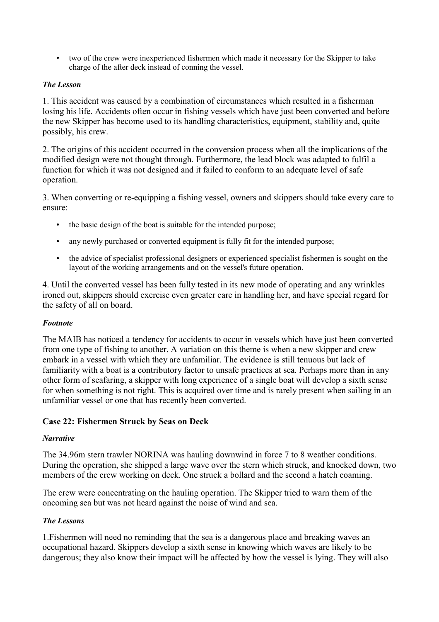<span id="page-34-0"></span>• two of the crew were inexperienced fishermen which made it necessary for the Skipper to take charge of the after deck instead of conning the vessel.

### *The Lesson*

1. This accident was caused by a combination of circumstances which resulted in a fisherman losing his life. Accidents often occur in fishing vessels which have just been converted and before the new Skipper has become used to its handling characteristics, equipment, stability and, quite possibly, his crew.

2. The origins of this accident occurred in the conversion process when all the implications of the modified design were not thought through. Furthermore, the lead block was adapted to fulfil a function for which it was not designed and it failed to conform to an adequate level of safe operation.

3. When converting or re-equipping a fishing vessel, owners and skippers should take every care to ensure:

- the basic design of the boat is suitable for the intended purpose;
- any newly purchased or converted equipment is fully fit for the intended purpose;
- the advice of specialist professional designers or experienced specialist fishermen is sought on the layout of the working arrangements and on the vessel's future operation.

4. Until the converted vessel has been fully tested in its new mode of operating and any wrinkles ironed out, skippers should exercise even greater care in handling her, and have special regard for the safety of all on board.

#### *Footnote*

The MAIB has noticed a tendency for accidents to occur in vessels which have just been converted from one type of fishing to another. A variation on this theme is when a new skipper and crew embark in a vessel with which they are unfamiliar. The evidence is still tenuous but lack of familiarity with a boat is a contributory factor to unsafe practices at sea. Perhaps more than in any other form of seafaring, a skipper with long experience of a single boat will develop a sixth sense for when something is not right. This is acquired over time and is rarely present when sailing in an unfamiliar vessel or one that has recently been converted.

## **Case 22: Fishermen Struck by Seas on Deck**

#### *Narrative*

The 34.96m stern trawler NORINA was hauling downwind in force 7 to 8 weather conditions. During the operation, she shipped a large wave over the stern which struck, and knocked down, two members of the crew working on deck. One struck a bollard and the second a hatch coaming.

The crew were concentrating on the hauling operation. The Skipper tried to warn them of the oncoming sea but was not heard against the noise of wind and sea.

#### *The Lessons*

1.Fishermen will need no reminding that the sea is a dangerous place and breaking waves an occupational hazard. Skippers develop a sixth sense in knowing which waves are likely to be dangerous; they also know their impact will be affected by how the vessel is lying. They will also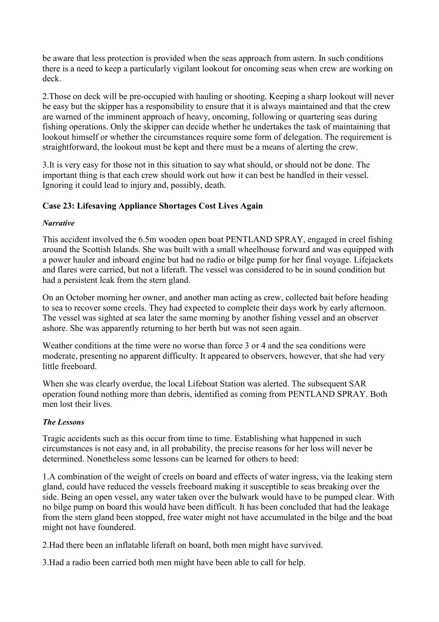<span id="page-35-0"></span>be aware that less protection is provided when the seas approach from astern. In such conditions there is a need to keep a particularly vigilant lookout for oncoming seas when crew are working on deck.

2.Those on deck will be pre-occupied with hauling or shooting. Keeping a sharp lookout will never be easy but the skipper has a responsibility to ensure that it is always maintained and that the crew are warned of the imminent approach of heavy, oncoming, following or quartering seas during fishing operations. Only the skipper can decide whether he undertakes the task of maintaining that lookout himself or whether the circumstances require some form of delegation. The requirement is straightforward, the lookout must be kept and there must be a means of alerting the crew.

3.It is very easy for those not in this situation to say what should, or should not be done. The important thing is that each crew should work out how it can best be handled in their vessel. Ignoring it could lead to injury and, possibly, death.

## **Case 23: Lifesaving Appliance Shortages Cost Lives Again**

#### *Narrative*

This accident involved the 6.5m wooden open boat PENTLAND SPRAY, engaged in creel fishing around the Scottish Islands. She was built with a small wheelhouse forward and was equipped with a power hauler and inboard engine but had no radio or bilge pump for her final voyage. Lifejackets and flares were carried, but not a liferaft. The vessel was considered to be in sound condition but had a persistent leak from the stern gland.

On an October morning her owner, and another man acting as crew, collected bait before heading to sea to recover some creels. They had expected to complete their days work by early afternoon. The vessel was sighted at sea later the same morning by another fishing vessel and an observer ashore. She was apparently returning to her berth but was not seen again.

Weather conditions at the time were no worse than force 3 or 4 and the sea conditions were moderate, presenting no apparent difficulty. It appeared to observers, however, that she had very little freeboard.

When she was clearly overdue, the local Lifeboat Station was alerted. The subsequent SAR operation found nothing more than debris, identified as coming from PENTLAND SPRAY. Both men lost their lives.

## *The Lessons*

Tragic accidents such as this occur from time to time. Establishing what happened in such circumstances is not easy and, in all probability, the precise reasons for her loss will never be determined. Nonetheless some lessons can be learned for others to heed:

1.A combination of the weight of creels on board and effects of water ingress, via the leaking stern gland, could have reduced the vessels freeboard making it susceptible to seas breaking over the side. Being an open vessel, any water taken over the bulwark would have to be pumped clear. With no bilge pump on board this would have been difficult. It has been concluded that had the leakage from the stern gland been stopped, free water might not have accumulated in the bilge and the boat might not have foundered.

2.Had there been an inflatable liferaft on board, both men might have survived.

3.Had a radio been carried both men might have been able to call for help.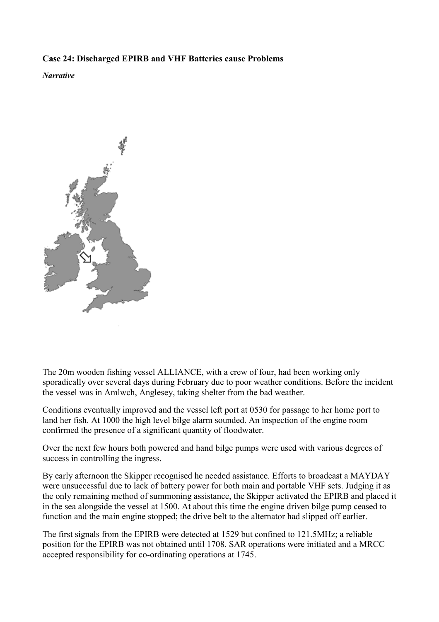## <span id="page-36-0"></span>**Case 24: Discharged EPIRB and VHF Batteries cause Problems**

*Narrative* 



The 20m wooden fishing vessel ALLIANCE, with a crew of four, had been working only sporadically over several days during February due to poor weather conditions. Before the incident the vessel was in Amlwch, Anglesey, taking shelter from the bad weather.

Conditions eventually improved and the vessel left port at 0530 for passage to her home port to land her fish. At 1000 the high level bilge alarm sounded. An inspection of the engine room confirmed the presence of a significant quantity of floodwater.

Over the next few hours both powered and hand bilge pumps were used with various degrees of success in controlling the ingress.

By early afternoon the Skipper recognised he needed assistance. Efforts to broadcast a MAYDAY were unsuccessful due to lack of battery power for both main and portable VHF sets. Judging it as the only remaining method of summoning assistance, the Skipper activated the EPIRB and placed it in the sea alongside the vessel at 1500. At about this time the engine driven bilge pump ceased to function and the main engine stopped; the drive belt to the alternator had slipped off earlier.

The first signals from the EPIRB were detected at 1529 but confined to 121.5MHz; a reliable position for the EPIRB was not obtained until 1708. SAR operations were initiated and a MRCC accepted responsibility for co-ordinating operations at 1745.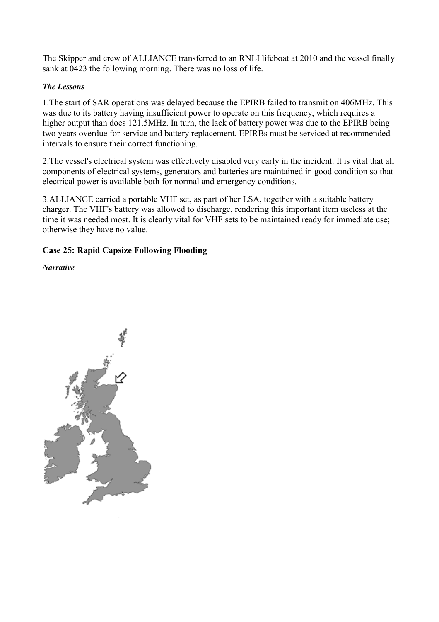<span id="page-37-0"></span>The Skipper and crew of ALLIANCE transferred to an RNLI lifeboat at 2010 and the vessel finally sank at 0423 the following morning. There was no loss of life.

#### *The Lessons*

1.The start of SAR operations was delayed because the EPIRB failed to transmit on 406MHz. This was due to its battery having insufficient power to operate on this frequency, which requires a higher output than does 121.5MHz. In turn, the lack of battery power was due to the EPIRB being two years overdue for service and battery replacement. EPIRBs must be serviced at recommended intervals to ensure their correct functioning.

2.The vessel's electrical system was effectively disabled very early in the incident. It is vital that all components of electrical systems, generators and batteries are maintained in good condition so that electrical power is available both for normal and emergency conditions.

3.ALLIANCE carried a portable VHF set, as part of her LSA, together with a suitable battery charger. The VHF's battery was allowed to discharge, rendering this important item useless at the time it was needed most. It is clearly vital for VHF sets to be maintained ready for immediate use; otherwise they have no value.

## **Case 25: Rapid Capsize Following Flooding**

*Narrative* 

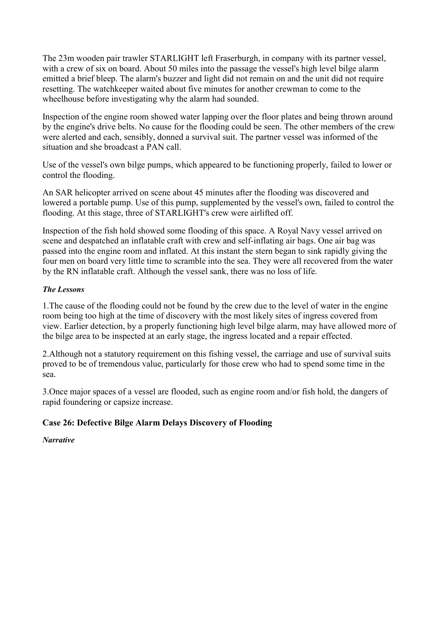<span id="page-38-0"></span>The 23m wooden pair trawler STARLIGHT left Fraserburgh, in company with its partner vessel, with a crew of six on board. About 50 miles into the passage the vessel's high level bilge alarm emitted a brief bleep. The alarm's buzzer and light did not remain on and the unit did not require resetting. The watchkeeper waited about five minutes for another crewman to come to the wheelhouse before investigating why the alarm had sounded.

Inspection of the engine room showed water lapping over the floor plates and being thrown around by the engine's drive belts. No cause for the flooding could be seen. The other members of the crew were alerted and each, sensibly, donned a survival suit. The partner vessel was informed of the situation and she broadcast a PAN call.

Use of the vessel's own bilge pumps, which appeared to be functioning properly, failed to lower or control the flooding.

An SAR helicopter arrived on scene about 45 minutes after the flooding was discovered and lowered a portable pump. Use of this pump, supplemented by the vessel's own, failed to control the flooding. At this stage, three of STARLIGHT's crew were airlifted off.

Inspection of the fish hold showed some flooding of this space. A Royal Navy vessel arrived on scene and despatched an inflatable craft with crew and self-inflating air bags. One air bag was passed into the engine room and inflated. At this instant the stern began to sink rapidly giving the four men on board very little time to scramble into the sea. They were all recovered from the water by the RN inflatable craft. Although the vessel sank, there was no loss of life.

#### *The Lessons*

1.The cause of the flooding could not be found by the crew due to the level of water in the engine room being too high at the time of discovery with the most likely sites of ingress covered from view. Earlier detection, by a properly functioning high level bilge alarm, may have allowed more of the bilge area to be inspected at an early stage, the ingress located and a repair effected.

2.Although not a statutory requirement on this fishing vessel, the carriage and use of survival suits proved to be of tremendous value, particularly for those crew who had to spend some time in the sea.

3.Once major spaces of a vessel are flooded, such as engine room and/or fish hold, the dangers of rapid foundering or capsize increase.

## **Case 26: Defective Bilge Alarm Delays Discovery of Flooding**

*Narrative*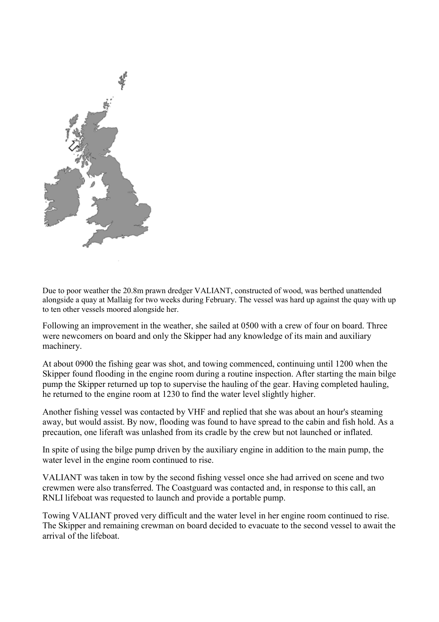

Due to poor weather the 20.8m prawn dredger VALIANT, constructed of wood, was berthed unattended alongside a quay at Mallaig for two weeks during February. The vessel was hard up against the quay with up to ten other vessels moored alongside her.

Following an improvement in the weather, she sailed at 0500 with a crew of four on board. Three were newcomers on board and only the Skipper had any knowledge of its main and auxiliary machinery.

At about 0900 the fishing gear was shot, and towing commenced, continuing until 1200 when the Skipper found flooding in the engine room during a routine inspection. After starting the main bilge pump the Skipper returned up top to supervise the hauling of the gear. Having completed hauling, he returned to the engine room at 1230 to find the water level slightly higher.

Another fishing vessel was contacted by VHF and replied that she was about an hour's steaming away, but would assist. By now, flooding was found to have spread to the cabin and fish hold. As a precaution, one liferaft was unlashed from its cradle by the crew but not launched or inflated.

In spite of using the bilge pump driven by the auxiliary engine in addition to the main pump, the water level in the engine room continued to rise.

VALIANT was taken in tow by the second fishing vessel once she had arrived on scene and two crewmen were also transferred. The Coastguard was contacted and, in response to this call, an RNLI lifeboat was requested to launch and provide a portable pump.

Towing VALIANT proved very difficult and the water level in her engine room continued to rise. The Skipper and remaining crewman on board decided to evacuate to the second vessel to await the arrival of the lifeboat.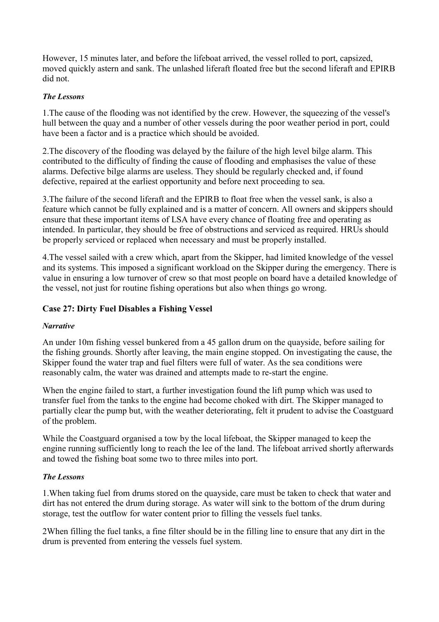<span id="page-40-0"></span>However, 15 minutes later, and before the lifeboat arrived, the vessel rolled to port, capsized, moved quickly astern and sank. The unlashed liferaft floated free but the second liferaft and EPIRB did not.

### *The Lessons*

1.The cause of the flooding was not identified by the crew. However, the squeezing of the vessel's hull between the quay and a number of other vessels during the poor weather period in port, could have been a factor and is a practice which should be avoided.

2.The discovery of the flooding was delayed by the failure of the high level bilge alarm. This contributed to the difficulty of finding the cause of flooding and emphasises the value of these alarms. Defective bilge alarms are useless. They should be regularly checked and, if found defective, repaired at the earliest opportunity and before next proceeding to sea.

3.The failure of the second liferaft and the EPIRB to float free when the vessel sank, is also a feature which cannot be fully explained and is a matter of concern. All owners and skippers should ensure that these important items of LSA have every chance of floating free and operating as intended. In particular, they should be free of obstructions and serviced as required. HRUs should be properly serviced or replaced when necessary and must be properly installed.

4.The vessel sailed with a crew which, apart from the Skipper, had limited knowledge of the vessel and its systems. This imposed a significant workload on the Skipper during the emergency. There is value in ensuring a low turnover of crew so that most people on board have a detailed knowledge of the vessel, not just for routine fishing operations but also when things go wrong.

## **Case 27: Dirty Fuel Disables a Fishing Vessel**

## *Narrative*

An under 10m fishing vessel bunkered from a 45 gallon drum on the quayside, before sailing for the fishing grounds. Shortly after leaving, the main engine stopped. On investigating the cause, the Skipper found the water trap and fuel filters were full of water. As the sea conditions were reasonably calm, the water was drained and attempts made to re-start the engine.

When the engine failed to start, a further investigation found the lift pump which was used to transfer fuel from the tanks to the engine had become choked with dirt. The Skipper managed to partially clear the pump but, with the weather deteriorating, felt it prudent to advise the Coastguard of the problem.

While the Coastguard organised a tow by the local lifeboat, the Skipper managed to keep the engine running sufficiently long to reach the lee of the land. The lifeboat arrived shortly afterwards and towed the fishing boat some two to three miles into port.

#### *The Lessons*

1.When taking fuel from drums stored on the quayside, care must be taken to check that water and dirt has not entered the drum during storage. As water will sink to the bottom of the drum during storage, test the outflow for water content prior to filling the vessels fuel tanks.

2When filling the fuel tanks, a fine filter should be in the filling line to ensure that any dirt in the drum is prevented from entering the vessels fuel system.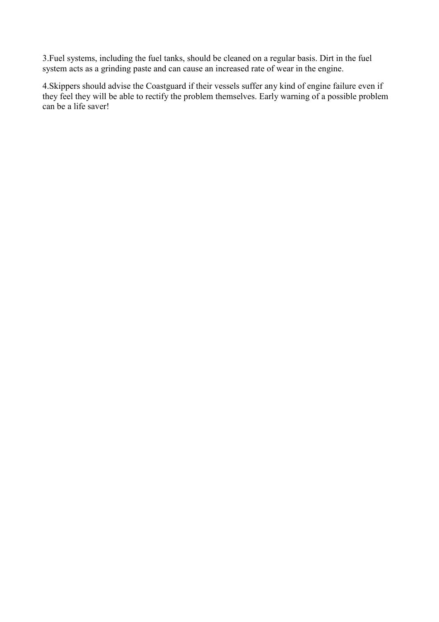3.Fuel systems, including the fuel tanks, should be cleaned on a regular basis. Dirt in the fuel system acts as a grinding paste and can cause an increased rate of wear in the engine.

4.Skippers should advise the Coastguard if their vessels suffer any kind of engine failure even if they feel they will be able to rectify the problem themselves. Early warning of a possible problem can be a life saver!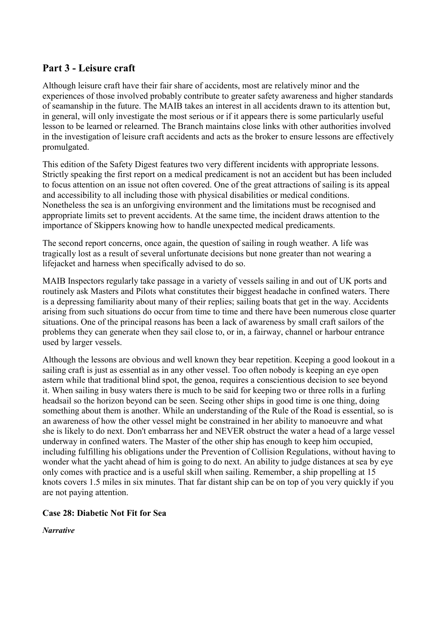## <span id="page-42-0"></span>**Part 3 - Leisure craft**

Although leisure craft have their fair share of accidents, most are relatively minor and the experiences of those involved probably contribute to greater safety awareness and higher standards of seamanship in the future. The MAIB takes an interest in all accidents drawn to its attention but, in general, will only investigate the most serious or if it appears there is some particularly useful lesson to be learned or relearned. The Branch maintains close links with other authorities involved in the investigation of leisure craft accidents and acts as the broker to ensure lessons are effectively promulgated.

This edition of the Safety Digest features two very different incidents with appropriate lessons. Strictly speaking the first report on a medical predicament is not an accident but has been included to focus attention on an issue not often covered. One of the great attractions of sailing is its appeal and accessibility to all including those with physical disabilities or medical conditions. Nonetheless the sea is an unforgiving environment and the limitations must be recognised and appropriate limits set to prevent accidents. At the same time, the incident draws attention to the importance of Skippers knowing how to handle unexpected medical predicaments.

The second report concerns, once again, the question of sailing in rough weather. A life was tragically lost as a result of several unfortunate decisions but none greater than not wearing a lifejacket and harness when specifically advised to do so.

MAIB Inspectors regularly take passage in a variety of vessels sailing in and out of UK ports and routinely ask Masters and Pilots what constitutes their biggest headache in confined waters. There is a depressing familiarity about many of their replies; sailing boats that get in the way. Accidents arising from such situations do occur from time to time and there have been numerous close quarter situations. One of the principal reasons has been a lack of awareness by small craft sailors of the problems they can generate when they sail close to, or in, a fairway, channel or harbour entrance used by larger vessels.

Although the lessons are obvious and well known they bear repetition. Keeping a good lookout in a sailing craft is just as essential as in any other vessel. Too often nobody is keeping an eye open astern while that traditional blind spot, the genoa, requires a conscientious decision to see beyond it. When sailing in busy waters there is much to be said for keeping two or three rolls in a furling headsail so the horizon beyond can be seen. Seeing other ships in good time is one thing, doing something about them is another. While an understanding of the Rule of the Road is essential, so is an awareness of how the other vessel might be constrained in her ability to manoeuvre and what she is likely to do next. Don't embarrass her and NEVER obstruct the water a head of a large vessel underway in confined waters. The Master of the other ship has enough to keep him occupied, including fulfilling his obligations under the Prevention of Collision Regulations, without having to wonder what the yacht ahead of him is going to do next. An ability to judge distances at sea by eye only comes with practice and is a useful skill when sailing. Remember, a ship propelling at 15 knots covers 1.5 miles in six minutes. That far distant ship can be on top of you very quickly if you are not paying attention.

## **Case 28: Diabetic Not Fit for Sea**

*Narrative*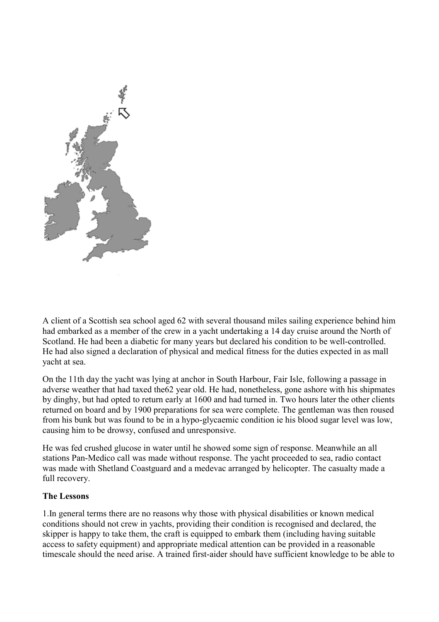

A client of a Scottish sea school aged 62 with several thousand miles sailing experience behind him had embarked as a member of the crew in a yacht undertaking a 14 day cruise around the North of Scotland. He had been a diabetic for many years but declared his condition to be well-controlled. He had also signed a declaration of physical and medical fitness for the duties expected in as mall yacht at sea.

On the 11th day the yacht was lying at anchor in South Harbour, Fair Isle, following a passage in adverse weather that had taxed the62 year old. He had, nonetheless, gone ashore with his shipmates by dinghy, but had opted to return early at 1600 and had turned in. Two hours later the other clients returned on board and by 1900 preparations for sea were complete. The gentleman was then roused from his bunk but was found to be in a hypo-glycaemic condition ie his blood sugar level was low, causing him to be drowsy, confused and unresponsive.

He was fed crushed glucose in water until he showed some sign of response. Meanwhile an all stations Pan-Medico call was made without response. The yacht proceeded to sea, radio contact was made with Shetland Coastguard and a medevac arranged by helicopter. The casualty made a full recovery.

#### **The Lessons**

1.In general terms there are no reasons why those with physical disabilities or known medical conditions should not crew in yachts, providing their condition is recognised and declared, the skipper is happy to take them, the craft is equipped to embark them (including having suitable access to safety equipment) and appropriate medical attention can be provided in a reasonable timescale should the need arise. A trained first-aider should have sufficient knowledge to be able to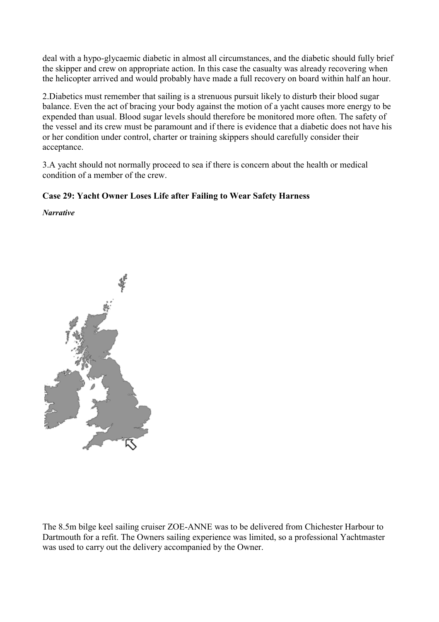<span id="page-44-0"></span>deal with a hypo-glycaemic diabetic in almost all circumstances, and the diabetic should fully brief the skipper and crew on appropriate action. In this case the casualty was already recovering when the helicopter arrived and would probably have made a full recovery on board within half an hour.

2.Diabetics must remember that sailing is a strenuous pursuit likely to disturb their blood sugar balance. Even the act of bracing your body against the motion of a yacht causes more energy to be expended than usual. Blood sugar levels should therefore be monitored more often. The safety of the vessel and its crew must be paramount and if there is evidence that a diabetic does not have his or her condition under control, charter or training skippers should carefully consider their acceptance.

3.A yacht should not normally proceed to sea if there is concern about the health or medical condition of a member of the crew.

## **Case 29: Yacht Owner Loses Life after Failing to Wear Safety Harness**

*Narrative* 



The 8.5m bilge keel sailing cruiser ZOE-ANNE was to be delivered from Chichester Harbour to Dartmouth for a refit. The Owners sailing experience was limited, so a professional Yachtmaster was used to carry out the delivery accompanied by the Owner.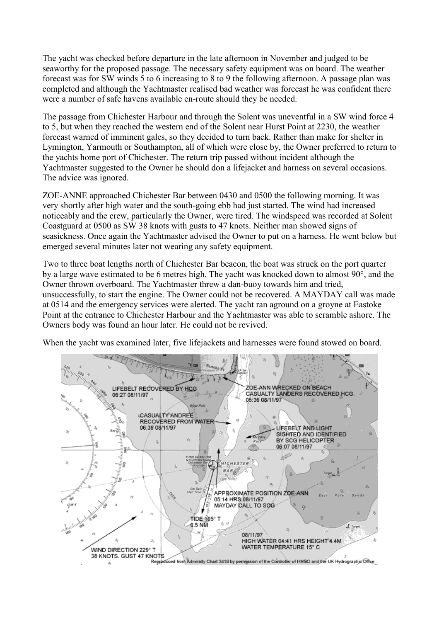The yacht was checked before departure in the late afternoon in November and judged to be seaworthy for the proposed passage. The necessary safety equipment was on board. The weather forecast was for SW winds 5 to 6 increasing to 8 to 9 the following afternoon. A passage plan was completed and although the Yachtmaster realised bad weather was forecast he was confident there were a number of safe havens available en-route should they be needed.

The passage from Chichester Harbour and through the Solent was uneventful in a SW wind force 4 to 5, but when they reached the western end of the Solent near Hurst Point at 2230, the weather forecast warned of imminent gales, so they decided to turn back. Rather than make for shelter in Lymington, Yarmouth or Southampton, all of which were close by, the Owner preferred to return to the yachts home port of Chichester. The return trip passed without incident although the Yachtmaster suggested to the Owner he should don a lifejacket and harness on several occasions. The advice was ignored.

ZOE-ANNE approached Chichester Bar between 0430 and 0500 the following morning. It was very shortly after high water and the south-going ebb had just started. The wind had increased noticeably and the crew, particularly the Owner, were tired. The windspeed was recorded at Solent Coastguard at 0500 as SW 38 knots with gusts to 47 knots. Neither man showed signs of seasickness. Once again the Yachtmaster advised the Owner to put on a harness. He went below but emerged several minutes later not wearing any safety equipment.

Two to three boat lengths north of Chichester Bar beacon, the boat was struck on the port quarter by a large wave estimated to be 6 metres high. The yacht was knocked down to almost 90°, and the Owner thrown overboard. The Yachtmaster threw a dan-buoy towards him and tried, unsuccessfully, to start the engine. The Owner could not be recovered. A MAYDAY call was made at 0514 and the emergency services were alerted. The yacht ran aground on a groyne at Eastoke Point at the entrance to Chichester Harbour and the Yachtmaster was able to scramble ashore. The Owners body was found an hour later. He could not be revived.

When the yacht was examined later, five lifejackets and harnesses were found stowed on board.

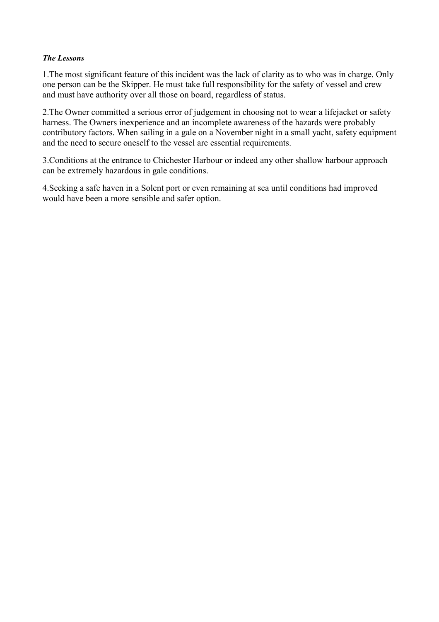#### *The Lessons*

1.The most significant feature of this incident was the lack of clarity as to who was in charge. Only one person can be the Skipper. He must take full responsibility for the safety of vessel and crew and must have authority over all those on board, regardless of status.

2.The Owner committed a serious error of judgement in choosing not to wear a lifejacket or safety harness. The Owners inexperience and an incomplete awareness of the hazards were probably contributory factors. When sailing in a gale on a November night in a small yacht, safety equipment and the need to secure oneself to the vessel are essential requirements.

3.Conditions at the entrance to Chichester Harbour or indeed any other shallow harbour approach can be extremely hazardous in gale conditions.

4.Seeking a safe haven in a Solent port or even remaining at sea until conditions had improved would have been a more sensible and safer option.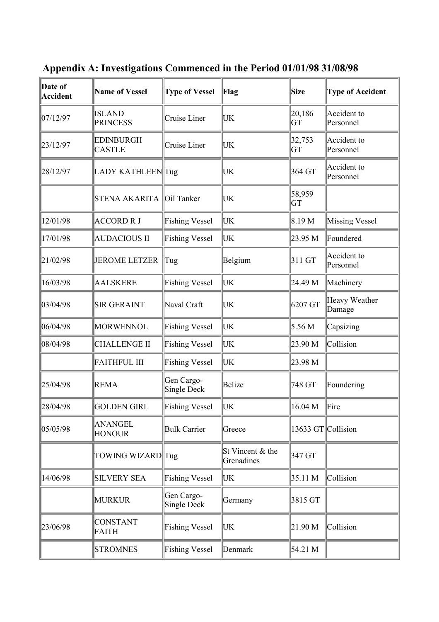| Date of<br>Accident | <b>Name of Vessel</b>             | <b>Type of Vessel</b>            | Flag                           | Size               | <b>Type of Accident</b>  |
|---------------------|-----------------------------------|----------------------------------|--------------------------------|--------------------|--------------------------|
| 07/12/97            | <b>ISLAND</b><br><b>PRINCESS</b>  | Cruise Liner                     | UK                             | 20,186<br>GT       | Accident to<br>Personnel |
| 23/12/97            | <b>EDINBURGH</b><br><b>CASTLE</b> | Cruise Liner                     | UK                             | 32,753<br>GT       | Accident to<br>Personnel |
| 28/12/97            | LADY KATHLEENTug                  |                                  | UK                             | 364 GT             | Accident to<br>Personnel |
|                     | <b>STENA AKARITA</b>              | Oil Tanker                       | UK                             | 58,959<br>GT       |                          |
| 12/01/98            | <b>ACCORD R J</b>                 | <b>Fishing Vessel</b>            | UK                             | 8.19 M             | <b>Missing Vessel</b>    |
| 17/01/98            | <b>AUDACIOUS II</b>               | <b>Fishing Vessel</b>            | UK                             | 23.95 M            | Foundered                |
| 21/02/98            | <b>JEROME LETZER</b>              | Tug                              | Belgium                        | 311 GT             | Accident to<br>Personnel |
| 16/03/98            | <b>AALSKERE</b>                   | <b>Fishing Vessel</b>            | UK                             | 24.49 M            | Machinery                |
| 03/04/98            | <b>SIR GERAINT</b>                | Naval Craft                      | UK                             | 6207 GT            | Heavy Weather<br>Damage  |
| 06/04/98            | <b>MORWENNOL</b>                  | <b>Fishing Vessel</b>            | UK                             | 5.56 M             | Capsizing                |
| 08/04/98            | <b>CHALLENGE II</b>               | <b>Fishing Vessel</b>            | UK                             | 23.90 M            | Collision                |
|                     | <b>FAITHFUL III</b>               | <b>Fishing Vessel</b>            | UK                             | 23.98 M            |                          |
| 25/04/98            | <b>REMA</b>                       | Gen Cargo-<br><b>Single Deck</b> | <b>Belize</b>                  | 748 GT             | Foundering               |
| 28/04/98            | <b>GOLDEN GIRL</b>                | Fishing Vessel                   | UK                             | 16.04 M            | Fire                     |
| 05/05/98            | ANANGEL<br><b>HONOUR</b>          | <b>Bulk Carrier</b>              | Greece                         | 13633 GT Collision |                          |
|                     | TOWING WIZARD Tug                 |                                  | St Vincent & the<br>Grenadines | 347 GT             |                          |
| 14/06/98            | <b>SILVERY SEA</b>                | <b>Fishing Vessel</b>            | UK                             | 35.11 M            | Collision                |
|                     | <b>MURKUR</b>                     | Gen Cargo-<br>Single Deck        | Germany                        | 3815 GT            |                          |
| 23/06/98            | <b>CONSTANT</b><br><b>FAITH</b>   | <b>Fishing Vessel</b>            | UK                             | 21.90 M            | Collision                |
|                     | <b>STROMNES</b>                   | Fishing Vessel                   | Denmark                        | 54.21 M            |                          |

<span id="page-47-0"></span>**Appendix A: Investigations Commenced in the Period 01/01/98 31/08/98**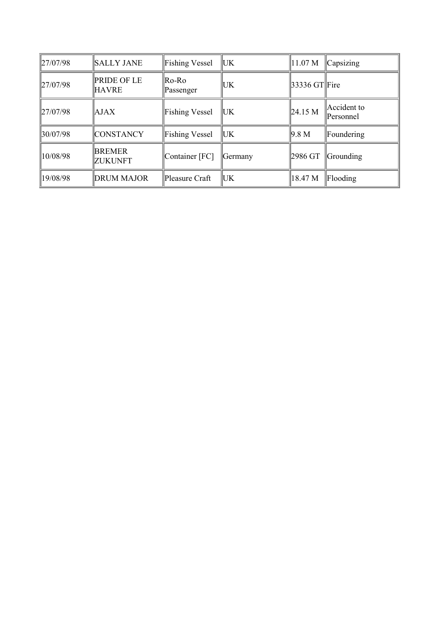| $\ 27/07/98\ $ | <b>SALLY JANE</b>                  | <b>Fishing Vessel</b> | ∥UK       | 11.07 M        | Capsizing                |
|----------------|------------------------------------|-----------------------|-----------|----------------|--------------------------|
| $\ 27/07/98\ $ | <b>PRIDE OF LE</b><br><b>HAVRE</b> | Ro-Ro<br>Passenger    | <b>UK</b> | 33336 GT  Fire |                          |
| $\ 27/07/98\ $ | AJAX                               | <b>Fishing Vessel</b> | ∥UK       | $\ 24.15 M\ $  | Accident to<br>Personnel |
| 30/07/98       | <b>CONSTANCY</b>                   | <b>Fishing Vessel</b> | ∥UK       | 9.8 M          | Foundering               |
| 10/08/98       | <b>BREMER</b><br><b>ZUKUNFT</b>    | Container [FC]        | Germany   | 2986 GT        | Grounding                |
| 19/08/98       | <b>DRUM MAJOR</b>                  | Pleasure Craft        | UK.       | 18.47 M        | Flooding                 |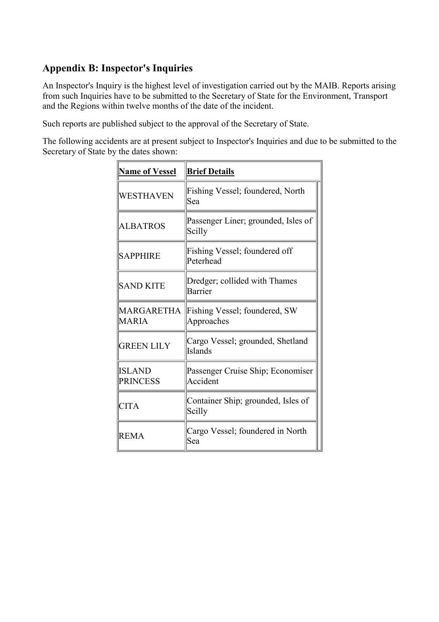## <span id="page-49-0"></span>**Appendix B: Inspector's Inquiries**

An Inspector's Inquiry is the highest level of investigation carried out by the MAIB. Reports arising from such Inquiries have to be submitted to the Secretary of State for the Environment, Transport and the Regions within twelve months of the date of the incident.

Such reports are published subject to the approval of the Secretary of State.

The following accidents are at present subject to Inspector's Inquiries and due to be submitted to the Secretary of State by the dates shown:

| <b>Name of Vessel</b>            | <b>Brief Details</b>                          |
|----------------------------------|-----------------------------------------------|
| <b>WESTHAVEN</b>                 | Fishing Vessel; foundered, North<br>Sea       |
| ALBATROS                         | Passenger Liner; grounded, Isles of<br>Scilly |
| <b>SAPPHIRE</b>                  | Fishing Vessel; foundered off<br>Peterhead    |
| <b>SAND KITE</b>                 | Dredger; collided with Thames<br>Barrier      |
| MARGARETHA<br><b>MARIA</b>       | Fishing Vessel; foundered, SW<br>Approaches   |
| <b>GREEN LILY</b>                | Cargo Vessel; grounded, Shetland<br>Islands   |
| <b>ISLAND</b><br><b>PRINCESS</b> | Passenger Cruise Ship; Economiser<br>Accident |
| <b>CITA</b>                      | Container Ship; grounded, Isles of<br>Scilly  |
| <b>REMA</b>                      | Cargo Vessel; foundered in North<br>Sea       |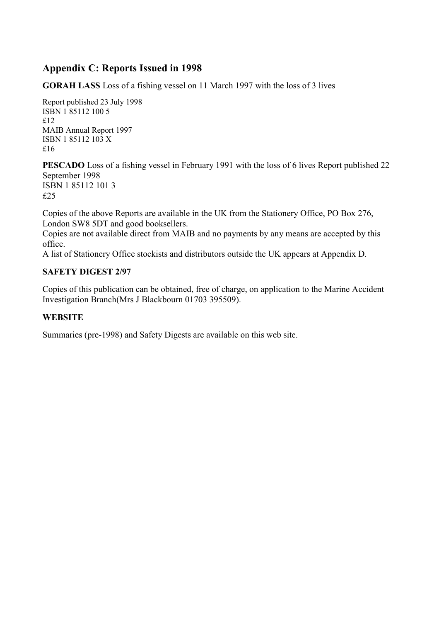## <span id="page-50-0"></span>**Appendix C: Reports Issued in 1998**

**GORAH LASS** Loss of a fishing vessel on 11 March 1997 with the loss of 3 lives

Report published 23 July 1998 ISBN 1 85112 100 5 £12 MAIB Annual Report 1997 ISBN 1 85112 103 X £16

**PESCADO** Loss of a fishing vessel in February 1991 with the loss of 6 lives Report published 22 September 1998 ISBN 1 85112 101 3 £25

Copies of the above Reports are available in the UK from the Stationery Office, PO Box 276, London SW8 5DT and good booksellers.

Copies are not available direct from MAIB and no payments by any means are accepted by this office.

A list of Stationery Office stockists and distributors outside the UK appears at Appendix D.

#### **SAFETY DIGEST 2/97**

Copies of this publication can be obtained, free of charge, on application to the Marine Accident Investigation Branch(Mrs J Blackbourn 01703 395509).

## **WEBSITE**

Summaries (pre-1998) and Safety Digests are available on this web site.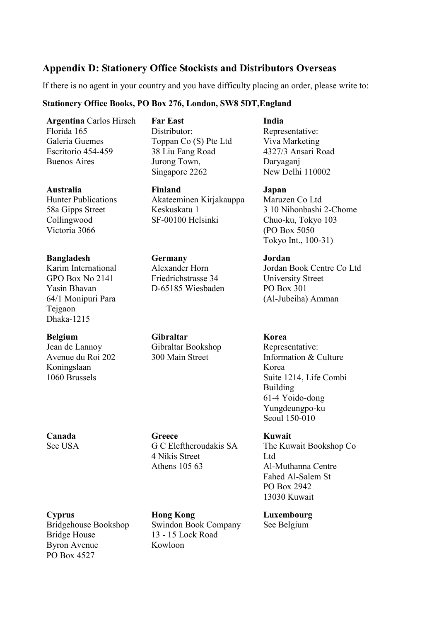## <span id="page-51-0"></span>**Appendix D: Stationery Office Stockists and Distributors Overseas**

If there is no agent in your country and you have difficulty placing an order, please write to:

## **Stationery Office Books, PO Box 276, London, SW8 5DT,England**

**Argentina** Carlos Hirsch Florida 165 Galeria Guemes Escritorio 454-459 Buenos Aires

**Australia** Hunter Publications 58a Gipps Street Collingwood Victoria 3066

**Bangladesh**  Karim International GPO Box No 2141 Yasin Bhavan 64/1 Monipuri Para Tejgaon Dhaka-1215

**Belgium**  Jean de Lannoy Avenue du Roi 202 Koningslaan 1060 Brussels

**Canada** See USA

**Cyprus**  Bridgehouse Bookshop Bridge House Byron Avenue PO Box 4527

**Far East** Distributor: Toppan Co (S) Pte Ltd 38 Liu Fang Road Jurong Town, Singapore 2262

**Finland**  Akateeminen Kirjakauppa Keskuskatu 1 SF-00100 Helsinki

**Germany**  Alexander Horn Friedrichstrasse 34 D-65185 Wiesbaden

**Gibraltar**  Gibraltar Bookshop 300 Main Street

**Greece**  G C Eleftheroudakis SA 4 Nikis Street Athens 105 63

**Hong Kong**  Swindon Book Company 13 - 15 Lock Road Kowloon

**India**

Representative: Viva Marketing 4327/3 Ansari Road Daryaganj New Delhi 110002

**Japan**  Maruzen Co Ltd 3 10 Nihonbashi 2-Chome Chuo-ku, Tokyo 103 (PO Box 5050 Tokyo Int., 100-31)

**Jordan**  Jordan Book Centre Co Ltd University Street PO Box 301 (Al-Jubeiha) Amman

**Korea**  Representative: Information & Culture Korea Suite 1214, Life Combi Building 61-4 Yoido-dong Yungdeungpo-ku Seoul 150-010

**Kuwait**  The Kuwait Bookshop Co Ltd Al-Muthanna Centre Fahed Al-Salem St PO Box 2942 13030 Kuwait

**Luxembourg**  See Belgium